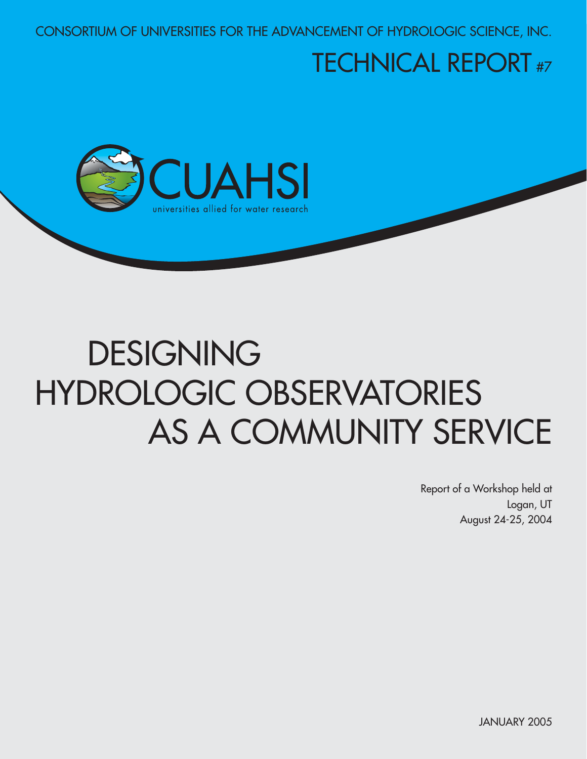CONSORTIUM OF UNIVERSITIES FOR THE ADVANCEMENT OF HYDROLOGIC SCIENCE, INC.

## TECHNICAL REPORT #7



# DESIGNING HYDROLOGIC OBSERVATORIES AS A COMMUNITY SERVICE

Report of a Workshop held at Logan, UT August 24-25, 2004

JANUARY 2005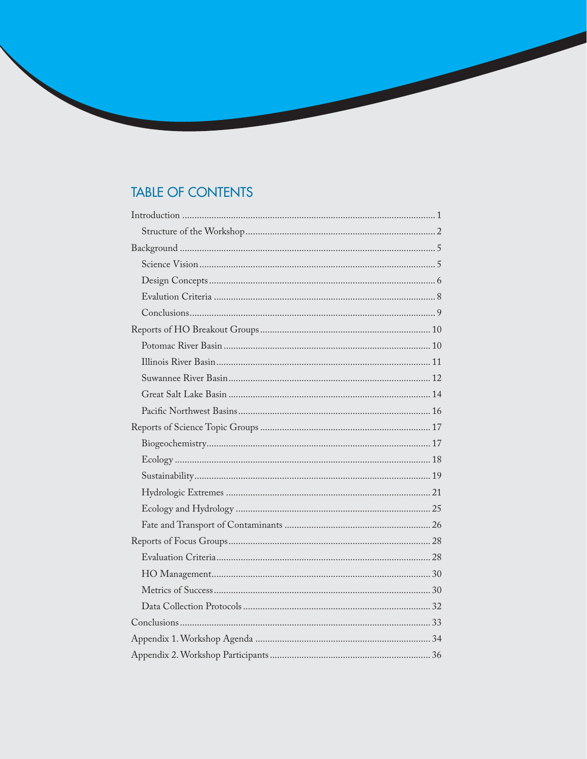## **TABLE OF CONTENTS**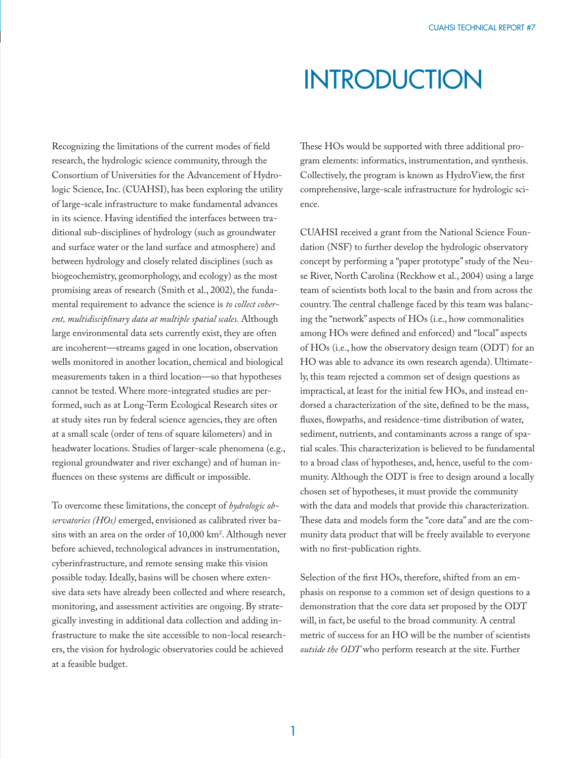## **INTRODUCTION**

Recognizing the limitations of the current modes of field research, the hydrologic science community, through the Consortium of Universities for the Advancement of Hydrologic Science, Inc. (CUAHSI), has been exploring the utility of large-scale infrastructure to make fundamental advances in its science. Having identified the interfaces between traditional sub-disciplines of hydrology (such as groundwater and surface water or the land surface and atmosphere) and between hydrology and closely related disciplines (such as biogeochemistry, geomorphology, and ecology) as the most promising areas of research (Smith et al., 2002), the fundamental requirement to advance the science is *to collect coherent, multidisciplinary data at multiple spatial scales.* Although large environmental data sets currently exist, they are often are incoherent—streams gaged in one location, observation wells monitored in another location, chemical and biological measurements taken in a third location—so that hypotheses cannot be tested. Where more-integrated studies are performed, such as at Long-Term Ecological Research sites or at study sites run by federal science agencies, they are often at a small scale (order of tens of square kilometers) and in headwater locations. Studies of larger-scale phenomena (e.g., regional groundwater and river exchange) and of human influences on these systems are difficult or impossible.

To overcome these limitations, the concept of *hydrologic observatories (HOs)* emerged, envisioned as calibrated river basins with an area on the order of 10,000 km<sup>2</sup>. Although never before achieved, technological advances in instrumentation, cyberinfrastructure, and remote sensing make this vision possible today. Ideally, basins will be chosen where extensive data sets have already been collected and where research, monitoring, and assessment activities are ongoing. By strategically investing in additional data collection and adding infrastructure to make the site accessible to non-local researchers, the vision for hydrologic observatories could be achieved at a feasible budget.

These HOs would be supported with three additional program elements: informatics, instrumentation, and synthesis. Collectively, the program is known as HydroView, the first comprehensive, large-scale infrastructure for hydrologic science.

CUAHSI received a grant from the National Science Foundation (NSF) to further develop the hydrologic observatory concept by performing a "paper prototype" study of the Neuse River, North Carolina (Reckhow et al., 2004) using a large team of scientists both local to the basin and from across the country. The central challenge faced by this team was balancing the "network" aspects of HOs (i.e., how commonalities among HOs were defined and enforced) and "local" aspects of HOs (i.e., how the observatory design team (ODT) for an HO was able to advance its own research agenda). Ultimately, this team rejected a common set of design questions as impractical, at least for the initial few HOs, and instead endorsed a characterization of the site, defined to be the mass, fluxes, flowpaths, and residence-time distribution of water, sediment, nutrients, and contaminants across a range of spatial scales. This characterization is believed to be fundamental to a broad class of hypotheses, and, hence, useful to the community. Although the ODT is free to design around a locally chosen set of hypotheses, it must provide the community with the data and models that provide this characterization. These data and models form the "core data" and are the community data product that will be freely available to everyone with no first-publication rights.

Selection of the first HOs, therefore, shifted from an emphasis on response to a common set of design questions to a demonstration that the core data set proposed by the ODT will, in fact, be useful to the broad community. A central metric of success for an HO will be the number of scientists *outside the ODT* who perform research at the site. Further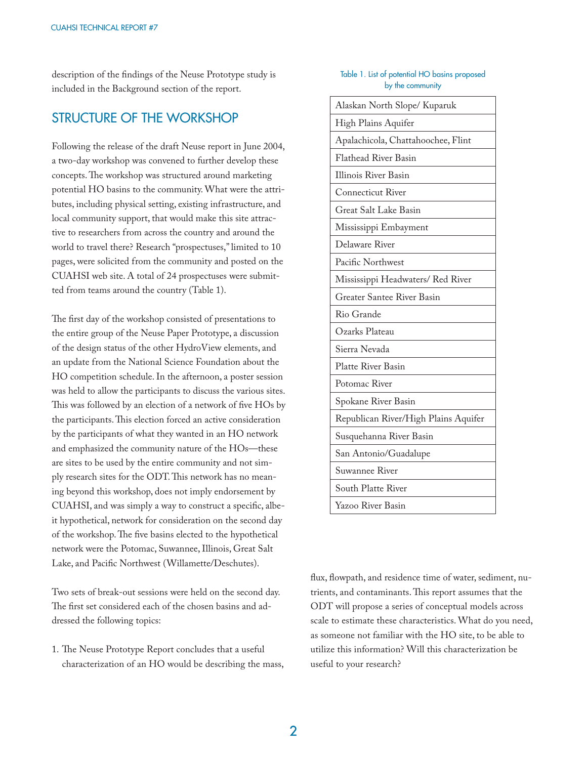description of the findings of the Neuse Prototype study is included in the Background section of the report.

## STRUCTURE OF THE WORKSHOP

Following the release of the draft Neuse report in June 2004, a two-day workshop was convened to further develop these concepts. The workshop was structured around marketing potential HO basins to the community. What were the attributes, including physical setting, existing infrastructure, and local community support, that would make this site attractive to researchers from across the country and around the world to travel there? Research "prospectuses," limited to 10 pages, were solicited from the community and posted on the CUAHSI web site. A total of 24 prospectuses were submitted from teams around the country (Table 1).

The first day of the workshop consisted of presentations to the entire group of the Neuse Paper Prototype, a discussion of the design status of the other HydroView elements, and an update from the National Science Foundation about the HO competition schedule. In the afternoon, a poster session was held to allow the participants to discuss the various sites. This was followed by an election of a network of five HOs by the participants. This election forced an active consideration by the participants of what they wanted in an HO network and emphasized the community nature of the HOs—these are sites to be used by the entire community and not simply research sites for the ODT. This network has no meaning beyond this workshop, does not imply endorsement by CUAHSI, and was simply a way to construct a specific, albeit hypothetical, network for consideration on the second day of the workshop. The five basins elected to the hypothetical network were the Potomac, Suwannee, Illinois, Great Salt Lake, and Pacific Northwest (Willamette/Deschutes).

Two sets of break-out sessions were held on the second day. The first set considered each of the chosen basins and addressed the following topics:

1. The Neuse Prototype Report concludes that a useful characterization of an HO would be describing the mass,

#### Table 1. List of potential HO basins proposed by the community

| Alaskan North Slope/ Kuparuk         |
|--------------------------------------|
| High Plains Aquifer                  |
| Apalachicola, Chattahoochee, Flint   |
| <b>Flathead River Basin</b>          |
| <b>Illinois River Basin</b>          |
| <b>Connecticut River</b>             |
| Great Salt Lake Basin                |
| Mississippi Embayment                |
| Delaware River                       |
| Pacific Northwest                    |
| Mississippi Headwaters/ Red River    |
| Greater Santee River Basin           |
| Rio Grande                           |
| Ozarks Plateau                       |
| Sierra Nevada                        |
| Platte River Basin                   |
| Potomac River                        |
| Spokane River Basin                  |
| Republican River/High Plains Aquifer |
| Susquehanna River Basin              |
| San Antonio/Guadalupe                |
| Suwannee River                       |
| South Platte River                   |
| Yazoo River Basin                    |

flux, flowpath, and residence time of water, sediment, nutrients, and contaminants. This report assumes that the ODT will propose a series of conceptual models across scale to estimate these characteristics. What do you need, as someone not familiar with the HO site, to be able to utilize this information? Will this characterization be useful to your research?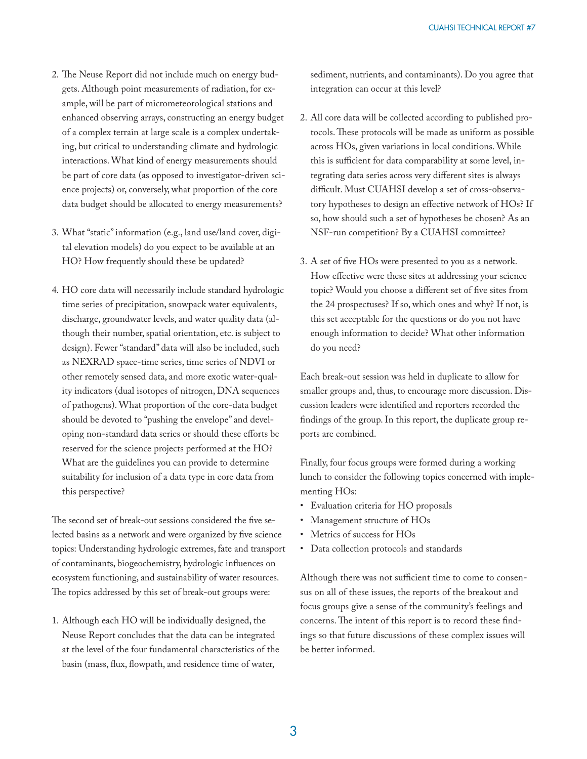- 2. The Neuse Report did not include much on energy budgets. Although point measurements of radiation, for example, will be part of micrometeorological stations and enhanced observing arrays, constructing an energy budget of a complex terrain at large scale is a complex undertaking, but critical to understanding climate and hydrologic interactions. What kind of energy measurements should be part of core data (as opposed to investigator-driven science projects) or, conversely, what proportion of the core data budget should be allocated to energy measurements?
- 3. What "static" information (e.g., land use/land cover, digital elevation models) do you expect to be available at an HO? How frequently should these be updated?
- 4. HO core data will necessarily include standard hydrologic time series of precipitation, snowpack water equivalents, discharge, groundwater levels, and water quality data (although their number, spatial orientation, etc. is subject to design). Fewer "standard" data will also be included, such as NEXRAD space-time series, time series of NDVI or other remotely sensed data, and more exotic water-quality indicators (dual isotopes of nitrogen, DNA sequences of pathogens). What proportion of the core-data budget should be devoted to "pushing the envelope" and developing non-standard data series or should these efforts be reserved for the science projects performed at the HO? What are the guidelines you can provide to determine suitability for inclusion of a data type in core data from this perspective?

The second set of break-out sessions considered the five selected basins as a network and were organized by five science topics: Understanding hydrologic extremes, fate and transport of contaminants, biogeochemistry, hydrologic influences on ecosystem functioning, and sustainability of water resources. The topics addressed by this set of break-out groups were:

1. Although each HO will be individually designed, the Neuse Report concludes that the data can be integrated at the level of the four fundamental characteristics of the basin (mass, flux, flowpath, and residence time of water,

sediment, nutrients, and contaminants). Do you agree that integration can occur at this level?

- 2. All core data will be collected according to published protocols. These protocols will be made as uniform as possible across HOs, given variations in local conditions. While this is sufficient for data comparability at some level, integrating data series across very different sites is always difficult. Must CUAHSI develop a set of cross-observatory hypotheses to design an effective network of HOs? If so, how should such a set of hypotheses be chosen? As an NSF-run competition? By a CUAHSI committee?
- 3. A set of five HOs were presented to you as a network. How effective were these sites at addressing your science topic? Would you choose a different set of five sites from the 24 prospectuses? If so, which ones and why? If not, is this set acceptable for the questions or do you not have enough information to decide? What other information do you need?

Each break-out session was held in duplicate to allow for smaller groups and, thus, to encourage more discussion. Discussion leaders were identified and reporters recorded the findings of the group. In this report, the duplicate group reports are combined.

Finally, four focus groups were formed during a working lunch to consider the following topics concerned with implementing HOs:

- Evaluation criteria for HO proposals
- Management structure of HOs
- Metrics of success for HOs
- Data collection protocols and standards

Although there was not sufficient time to come to consensus on all of these issues, the reports of the breakout and focus groups give a sense of the community's feelings and concerns. The intent of this report is to record these findings so that future discussions of these complex issues will be better informed.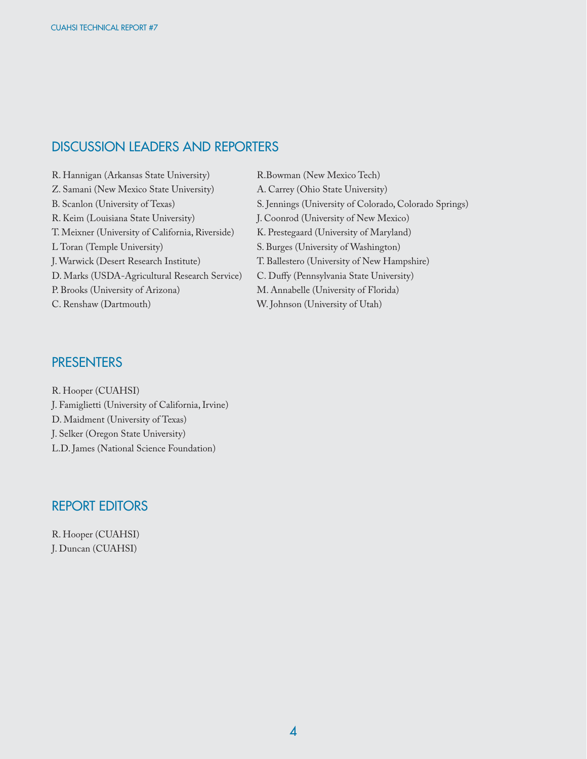## DISCUSSION LEADERS AND REPORTERS

- R. Hannigan (Arkansas State University) R.Bowman (New Mexico Tech) Z. Samani (New Mexico State University) A. Carrey (Ohio State University) R. Keim (Louisiana State University) J. Coonrod (University of New Mexico) T. Meixner (University of California, Riverside) K. Prestegaard (University of Maryland) L Toran (Temple University) S. Burges (University of Washington) J. Warwick (Desert Research Institute) T. Ballestero (University of New Hampshire) D. Marks (USDA-Agricultural Research Service) C. Duffy (Pennsylvania State University) P. Brooks (University of Arizona) M. Annabelle (University of Florida) C. Renshaw (Dartmouth) W. Johnson (University of Utah)
- B. Scanlon (University of Texas) S. Jennings (University of Colorado, Colorado Springs)

## PRESENTERS

R. Hooper (CUAHSI) J. Famiglietti (University of California, Irvine) D. Maidment (University of Texas) J. Selker (Oregon State University) L.D. James (National Science Foundation)

#### REPORT EDITORS

R. Hooper (CUAHSI) J. Duncan (CUAHSI)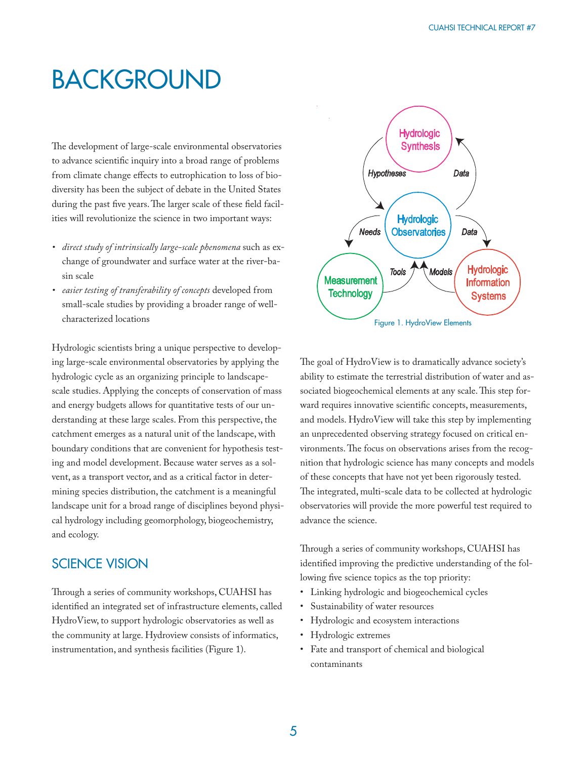## BACKGROUND

The development of large-scale environmental observatories to advance scientific inquiry into a broad range of problems from climate change effects to eutrophication to loss of biodiversity has been the subject of debate in the United States during the past five years. The larger scale of these field facilities will revolutionize the science in two important ways:

- *direct study of intrinsically large-scale phenomena* such as exchange of groundwater and surface water at the river-basin scale
- *easier testing of transferability of concepts* developed from small-scale studies by providing a broader range of wellcharacterized locations

Hydrologic scientists bring a unique perspective to developing large-scale environmental observatories by applying the hydrologic cycle as an organizing principle to landscapescale studies. Applying the concepts of conservation of mass and energy budgets allows for quantitative tests of our understanding at these large scales. From this perspective, the catchment emerges as a natural unit of the landscape, with boundary conditions that are convenient for hypothesis testing and model development. Because water serves as a solvent, as a transport vector, and as a critical factor in determining species distribution, the catchment is a meaningful landscape unit for a broad range of disciplines beyond physical hydrology including geomorphology, biogeochemistry, and ecology.

## SCIENCE VISION

Through a series of community workshops, CUAHSI has identified an integrated set of infrastructure elements, called HydroView, to support hydrologic observatories as well as the community at large. Hydroview consists of informatics, instrumentation, and synthesis facilities (Figure 1).



The goal of HydroView is to dramatically advance society's ability to estimate the terrestrial distribution of water and associated biogeochemical elements at any scale. This step forward requires innovative scientific concepts, measurements, and models. HydroView will take this step by implementing an unprecedented observing strategy focused on critical environments. The focus on observations arises from the recognition that hydrologic science has many concepts and models of these concepts that have not yet been rigorously tested. The integrated, multi-scale data to be collected at hydrologic observatories will provide the more powerful test required to advance the science.

Through a series of community workshops, CUAHSI has identified improving the predictive understanding of the following five science topics as the top priority:

- Linking hydrologic and biogeochemical cycles
- Sustainability of water resources
- Hydrologic and ecosystem interactions
- Hydrologic extremes
- Fate and transport of chemical and biological contaminants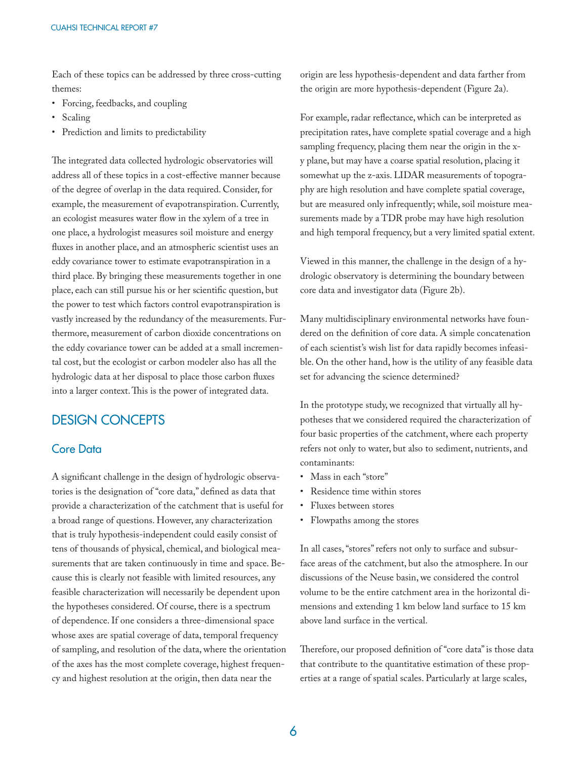Each of these topics can be addressed by three cross-cutting themes:

- Forcing, feedbacks, and coupling
- Scaling
- Prediction and limits to predictability

The integrated data collected hydrologic observatories will address all of these topics in a cost-effective manner because of the degree of overlap in the data required. Consider, for example, the measurement of evapotranspiration. Currently, an ecologist measures water flow in the xylem of a tree in one place, a hydrologist measures soil moisture and energy fluxes in another place, and an atmospheric scientist uses an eddy covariance tower to estimate evapotranspiration in a third place. By bringing these measurements together in one place, each can still pursue his or her scientific question, but the power to test which factors control evapotranspiration is vastly increased by the redundancy of the measurements. Furthermore, measurement of carbon dioxide concentrations on the eddy covariance tower can be added at a small incremental cost, but the ecologist or carbon modeler also has all the hydrologic data at her disposal to place those carbon fluxes into a larger context. This is the power of integrated data.

#### DESIGN CONCEPTS

#### Core Data

A significant challenge in the design of hydrologic observatories is the designation of "core data," defined as data that provide a characterization of the catchment that is useful for a broad range of questions. However, any characterization that is truly hypothesis-independent could easily consist of tens of thousands of physical, chemical, and biological measurements that are taken continuously in time and space. Because this is clearly not feasible with limited resources, any feasible characterization will necessarily be dependent upon the hypotheses considered. Of course, there is a spectrum of dependence. If one considers a three-dimensional space whose axes are spatial coverage of data, temporal frequency of sampling, and resolution of the data, where the orientation of the axes has the most complete coverage, highest frequency and highest resolution at the origin, then data near the

origin are less hypothesis-dependent and data farther from the origin are more hypothesis-dependent (Figure 2a).

For example, radar reflectance, which can be interpreted as precipitation rates, have complete spatial coverage and a high sampling frequency, placing them near the origin in the xy plane, but may have a coarse spatial resolution, placing it somewhat up the z-axis. LIDAR measurements of topography are high resolution and have complete spatial coverage, but are measured only infrequently; while, soil moisture measurements made by a TDR probe may have high resolution and high temporal frequency, but a very limited spatial extent.

Viewed in this manner, the challenge in the design of a hydrologic observatory is determining the boundary between core data and investigator data (Figure 2b).

Many multidisciplinary environmental networks have foundered on the definition of core data. A simple concatenation of each scientist's wish list for data rapidly becomes infeasible. On the other hand, how is the utility of any feasible data set for advancing the science determined?

In the prototype study, we recognized that virtually all hypotheses that we considered required the characterization of four basic properties of the catchment, where each property refers not only to water, but also to sediment, nutrients, and contaminants:

- Mass in each "store"
- Residence time within stores
- Fluxes between stores
- Flowpaths among the stores

In all cases, "stores" refers not only to surface and subsurface areas of the catchment, but also the atmosphere. In our discussions of the Neuse basin, we considered the control volume to be the entire catchment area in the horizontal dimensions and extending 1 km below land surface to 15 km above land surface in the vertical.

Therefore, our proposed definition of "core data" is those data that contribute to the quantitative estimation of these properties at a range of spatial scales. Particularly at large scales,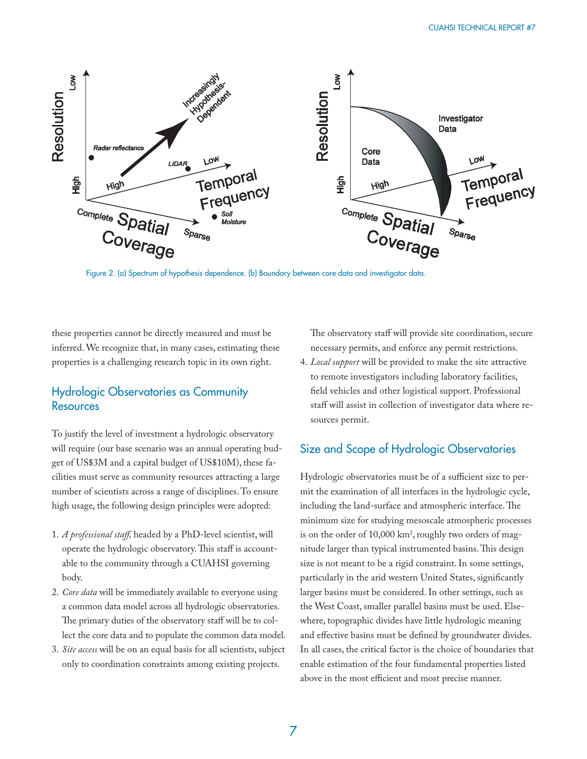

Figure 2. (a) Spectrum of hypothesis dependence. (b) Boundary between core data and investigator data.

these properties cannot be directly measured and must be inferred. We recognize that, in many cases, estimating these properties is a challenging research topic in its own right.

#### Hydrologic Observatories as Community **Resources**

To justify the level of investment a hydrologic observatory will require (our base scenario was an annual operating budget of US\$3M and a capital budget of US\$10M), these facilities must serve as community resources attracting a large number of scientists across a range of disciplines. To ensure high usage, the following design principles were adopted:

- 1. *A professional staff ,* headed by a PhD-level scientist, will operate the hydrologic observatory. This staff is accountable to the community through a CUAHSI governing body.
- 2. *Core data* will be immediately available to everyone using a common data model across all hydrologic observatories. The primary duties of the observatory staff will be to collect the core data and to populate the common data model.
- 3. *Site access* will be on an equal basis for all scientists, subject only to coordination constraints among existing projects.

The observatory staff will provide site coordination, secure necessary permits, and enforce any permit restrictions.

4. *Local support* will be provided to make the site attractive to remote investigators including laboratory facilities, field vehicles and other logistical support. Professional staff will assist in collection of investigator data where resources permit.

## Size and Scope of Hydrologic Observatories

Hydrologic observatories must be of a sufficient size to permit the examination of all interfaces in the hydrologic cycle, including the land-surface and atmospheric interface. The minimum size for studying mesoscale atmospheric processes is on the order of  $10,000 \mathrm{~km^2}$ , roughly two orders of magnitude larger than typical instrumented basins. This design size is not meant to be a rigid constraint. In some settings, particularly in the arid western United States, significantly larger basins must be considered. In other settings, such as the West Coast, smaller parallel basins must be used. Elsewhere, topographic divides have little hydrologic meaning and effective basins must be defined by groundwater divides. In all cases, the critical factor is the choice of boundaries that enable estimation of the four fundamental properties listed above in the most efficient and most precise manner.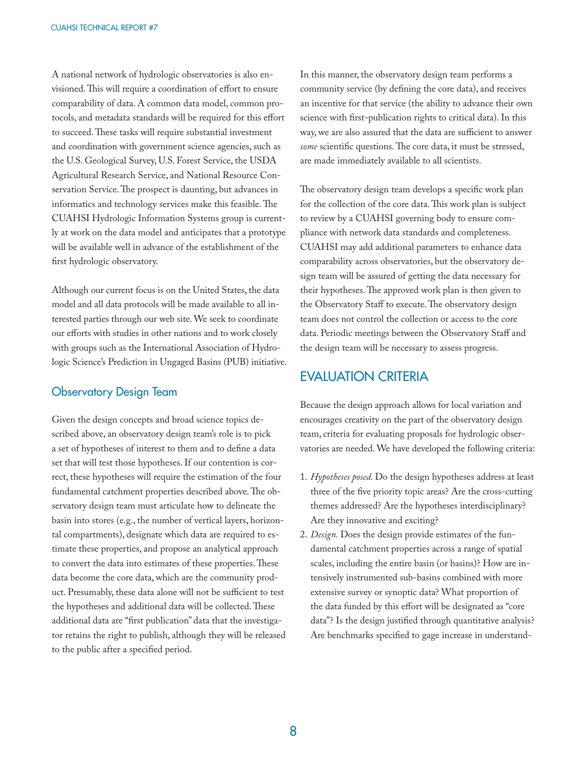A national network of hydrologic observatories is also envisioned. This will require a coordination of effort to ensure comparability of data. A common data model, common protocols, and metadata standards will be required for this effort to succeed. These tasks will require substantial investment and coordination with government science agencies, such as the U.S. Geological Survey, U.S. Forest Service, the USDA Agricultural Research Service, and National Resource Conservation Service. The prospect is daunting, but advances in informatics and technology services make this feasible. The CUAHSI Hydrologic Information Systems group is currently at work on the data model and anticipates that a prototype will be available well in advance of the establishment of the first hydrologic observatory.

Although our current focus is on the United States, the data model and all data protocols will be made available to all interested parties through our web site. We seek to coordinate our efforts with studies in other nations and to work closely with groups such as the International Association of Hydrologic Science's Prediction in Ungaged Basins (PUB) initiative.

#### Observatory Design Team

Given the design concepts and broad science topics described above, an observatory design team's role is to pick a set of hypotheses of interest to them and to define a data set that will test those hypotheses. If our contention is correct, these hypotheses will require the estimation of the four fundamental catchment properties described above. The observatory design team must articulate how to delineate the basin into stores (e.g., the number of vertical layers, horizontal compartments), designate which data are required to estimate these properties, and propose an analytical approach to convert the data into estimates of these properties. These data become the core data, which are the community product. Presumably, these data alone will not be sufficient to test the hypotheses and additional data will be collected. These additional data are "first publication" data that the investigator retains the right to publish, although they will be released to the public after a specified period.

In this manner, the observatory design team performs a community service (by defining the core data), and receives an incentive for that service (the ability to advance their own science with first-publication rights to critical data). In this way, we are also assured that the data are sufficient to answer some scientific questions. The core data, it must be stressed, are made immediately available to all scientists.

The observatory design team develops a specific work plan for the collection of the core data. This work plan is subject to review by a CUAHSI governing body to ensure compliance with network data standards and completeness. CUAHSI may add additional parameters to enhance data comparability across observatories, but the observatory design team will be assured of getting the data necessary for their hypotheses. The approved work plan is then given to the Observatory Staff to execute. The observatory design team does not control the collection or access to the core data. Periodic meetings between the Observatory Staff and the design team will be necessary to assess progress.

### EVALUATION CRITERIA

Because the design approach allows for local variation and encourages creativity on the part of the observatory design team, criteria for evaluating proposals for hydrologic observatories are needed. We have developed the following criteria:

- 1. *Hypotheses posed.* Do the design hypotheses address at least three of the five priority topic areas? Are the cross-cutting themes addressed? Are the hypotheses interdisciplinary? Are they innovative and exciting?
- 2. *Design.* Does the design provide estimates of the fundamental catchment properties across a range of spatial scales, including the entire basin (or basins)? How are intensively instrumented sub-basins combined with more extensive survey or synoptic data? What proportion of the data funded by this effort will be designated as "core data"? Is the design justified through quantitative analysis? Are benchmarks specified to gage increase in understand-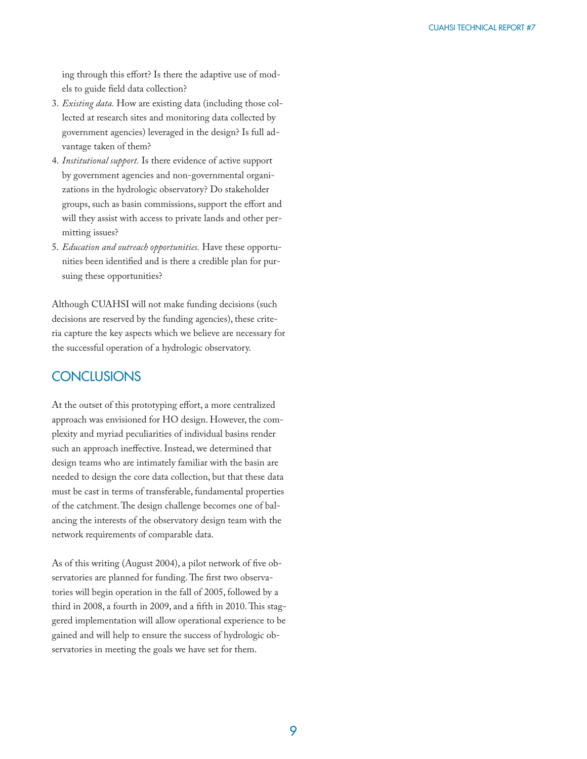ing through this effort? Is there the adaptive use of models to guide field data collection?

- 3. *Existing data.* How are existing data (including those collected at research sites and monitoring data collected by government agencies) leveraged in the design? Is full advantage taken of them?
- 4. *Institutional support.* Is there evidence of active support by government agencies and non-governmental organizations in the hydrologic observatory? Do stakeholder groups, such as basin commissions, support the effort and will they assist with access to private lands and other permitting issues?
- 5. *Education and outreach opportunities.* Have these opportunities been identified and is there a credible plan for pursuing these opportunities?

Although CUAHSI will not make funding decisions (such decisions are reserved by the funding agencies), these criteria capture the key aspects which we believe are necessary for the successful operation of a hydrologic observatory.

## **CONCLUSIONS**

At the outset of this prototyping effort, a more centralized approach was envisioned for HO design. However, the complexity and myriad peculiarities of individual basins render such an approach ineffective. Instead, we determined that design teams who are intimately familiar with the basin are needed to design the core data collection, but that these data must be cast in terms of transferable, fundamental properties of the catchment. The design challenge becomes one of balancing the interests of the observatory design team with the network requirements of comparable data.

As of this writing (August 2004), a pilot network of five observatories are planned for funding. The first two observatories will begin operation in the fall of 2005, followed by a third in 2008, a fourth in 2009, and a fifth in 2010. This staggered implementation will allow operational experience to be gained and will help to ensure the success of hydrologic observatories in meeting the goals we have set for them.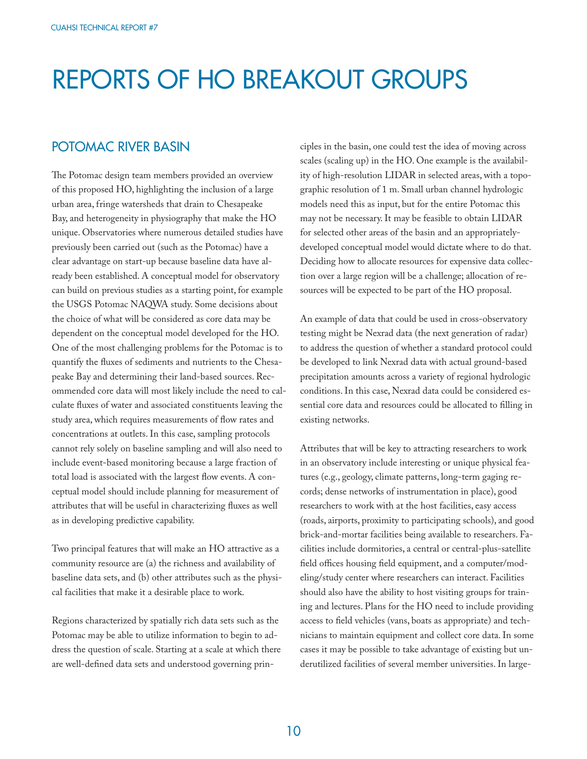## REPORTS OF HO BREAKOUT GROUPS

## POTOMAC RIVER BASIN

The Potomac design team members provided an overview of this proposed HO, highlighting the inclusion of a large urban area, fringe watersheds that drain to Chesapeake Bay, and heterogeneity in physiography that make the HO unique. Observatories where numerous detailed studies have previously been carried out (such as the Potomac) have a clear advantage on start-up because baseline data have already been established. A conceptual model for observatory can build on previous studies as a starting point, for example the USGS Potomac NAQWA study. Some decisions about the choice of what will be considered as core data may be dependent on the conceptual model developed for the HO. One of the most challenging problems for the Potomac is to quantify the fluxes of sediments and nutrients to the Chesapeake Bay and determining their land-based sources. Recommended core data will most likely include the need to calculate fluxes of water and associated constituents leaving the study area, which requires measurements of flow rates and concentrations at outlets. In this case, sampling protocols cannot rely solely on baseline sampling and will also need to include event-based monitoring because a large fraction of total load is associated with the largest flow events. A conceptual model should include planning for measurement of attributes that will be useful in characterizing fluxes as well as in developing predictive capability.

Two principal features that will make an HO attractive as a community resource are (a) the richness and availability of baseline data sets, and (b) other attributes such as the physical facilities that make it a desirable place to work.

Regions characterized by spatially rich data sets such as the Potomac may be able to utilize information to begin to address the question of scale. Starting at a scale at which there are well-defined data sets and understood governing principles in the basin, one could test the idea of moving across scales (scaling up) in the HO. One example is the availability of high-resolution LIDAR in selected areas, with a topographic resolution of 1 m. Small urban channel hydrologic models need this as input, but for the entire Potomac this may not be necessary. It may be feasible to obtain LIDAR for selected other areas of the basin and an appropriatelydeveloped conceptual model would dictate where to do that. Deciding how to allocate resources for expensive data collection over a large region will be a challenge; allocation of resources will be expected to be part of the HO proposal.

An example of data that could be used in cross-observatory testing might be Nexrad data (the next generation of radar) to address the question of whether a standard protocol could be developed to link Nexrad data with actual ground-based precipitation amounts across a variety of regional hydrologic conditions. In this case, Nexrad data could be considered essential core data and resources could be allocated to filling in existing networks.

Attributes that will be key to attracting researchers to work in an observatory include interesting or unique physical features (e.g., geology, climate patterns, long-term gaging records; dense networks of instrumentation in place), good researchers to work with at the host facilities, easy access (roads, airports, proximity to participating schools), and good brick-and-mortar facilities being available to researchers. Facilities include dormitories, a central or central-plus-satellite field offices housing field equipment, and a computer/modeling/study center where researchers can interact. Facilities should also have the ability to host visiting groups for training and lectures. Plans for the HO need to include providing access to field vehicles (vans, boats as appropriate) and technicians to maintain equipment and collect core data. In some cases it may be possible to take advantage of existing but underutilized facilities of several member universities. In large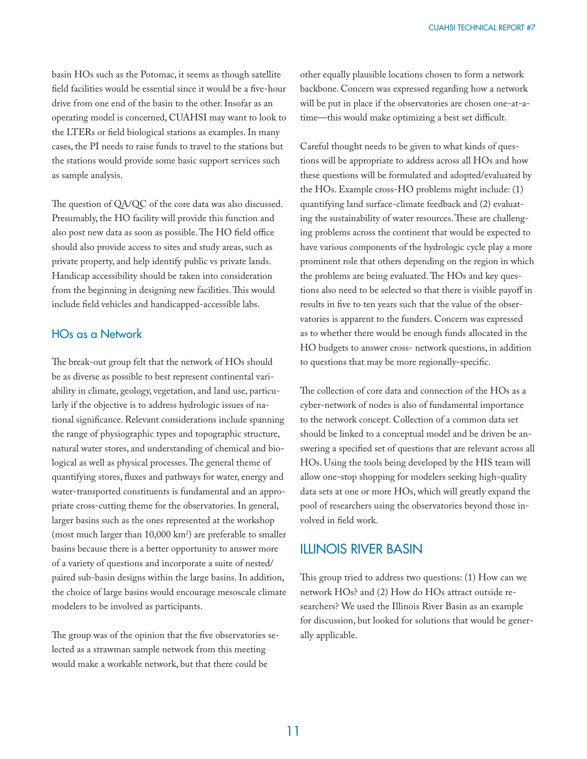basin HOs such as the Potomac, it seems as though satellite field facilities would be essential since it would be a five-hour drive from one end of the basin to the other. Insofar as an operating model is concerned, CUAHSI may want to look to the LTERs or field biological stations as examples. In many cases, the PI needs to raise funds to travel to the stations but the stations would provide some basic support services such as sample analysis.

The question of QA/QC of the core data was also discussed. Presumably, the HO facility will provide this function and also post new data as soon as possible. The HO field office should also provide access to sites and study areas, such as private property, and help identify public vs private lands. Handicap accessibility should be taken into consideration from the beginning in designing new facilities. This would include field vehicles and handicapped-accessible labs.

#### HOs as a Network

The break-out group felt that the network of HOs should be as diverse as possible to best represent continental variability in climate, geology, vegetation, and land use, particularly if the objective is to address hydrologic issues of national significance. Relevant considerations include spanning the range of physiographic types and topographic structure, natural water stores, and understanding of chemical and biological as well as physical processes. The general theme of quantifying stores, fluxes and pathways for water, energy and water-transported constituents is fundamental and an appropriate cross-cutting theme for the observatories. In general, larger basins such as the ones represented at the workshop (most much larger than  $10,000 \text{ km}^2$ ) are preferable to smaller basins because there is a better opportunity to answer more of a variety of questions and incorporate a suite of nested/ paired sub-basin designs within the large basins. In addition, the choice of large basins would encourage mesoscale climate modelers to be involved as participants.

The group was of the opinion that the five observatories selected as a strawman sample network from this meeting would make a workable network, but that there could be

other equally plausible locations chosen to form a network backbone. Concern was expressed regarding how a network will be put in place if the observatories are chosen one-at-atime—this would make optimizing a best set difficult.

Careful thought needs to be given to what kinds of questions will be appropriate to address across all HOs and how these questions will be formulated and adopted/evaluated by the HOs. Example cross-HO problems might include: (1) quantifying land surface-climate feedback and (2) evaluating the sustainability of water resources. These are challenging problems across the continent that would be expected to have various components of the hydrologic cycle play a more prominent role that others depending on the region in which the problems are being evaluated. The HOs and key questions also need to be selected so that there is visible payoff in results in five to ten years such that the value of the observatories is apparent to the funders. Concern was expressed as to whether there would be enough funds allocated in the HO budgets to answer cross- network questions, in addition to questions that may be more regionally-specific.

The collection of core data and connection of the HOs as a cyber-network of nodes is also of fundamental importance to the network concept. Collection of a common data set should be linked to a conceptual model and be driven be answering a specified set of questions that are relevant across all HOs. Using the tools being developed by the HIS team will allow one-stop shopping for modelers seeking high-quality data sets at one or more HOs, which will greatly expand the pool of researchers using the observatories beyond those involved in field work.

#### ILLINOIS RIVER BASIN

This group tried to address two questions:  $(1)$  How can we network HOs? and (2) How do HOs attract outside researchers? We used the Illinois River Basin as an example for discussion, but looked for solutions that would be generally applicable.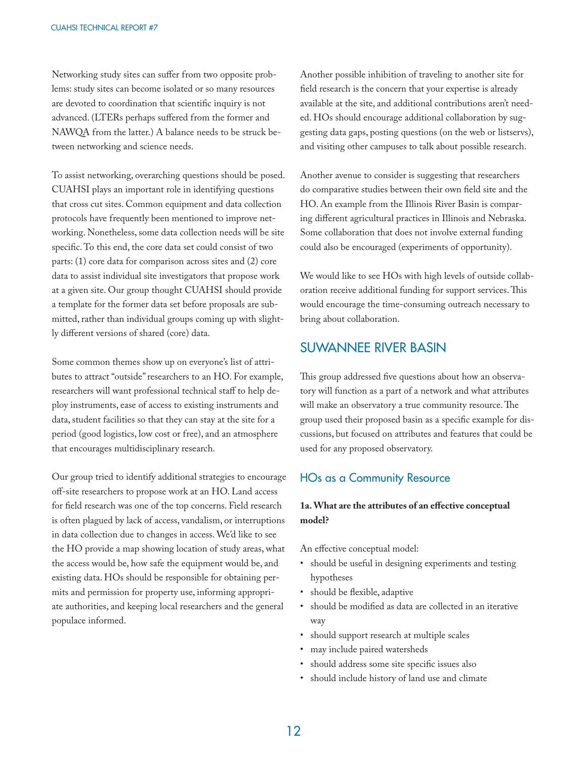Networking study sites can suffer from two opposite problems: study sites can become isolated or so many resources are devoted to coordination that scientific inquiry is not advanced. (LTERs perhaps suffered from the former and NAWQA from the latter.) A balance needs to be struck between networking and science needs.

To assist networking, overarching questions should be posed. CUAHSI plays an important role in identifying questions that cross cut sites. Common equipment and data collection protocols have frequently been mentioned to improve networking. Nonetheless, some data collection needs will be site specific. To this end, the core data set could consist of two parts: (1) core data for comparison across sites and (2) core data to assist individual site investigators that propose work at a given site. Our group thought CUAHSI should provide a template for the former data set before proposals are submitted, rather than individual groups coming up with slightly different versions of shared (core) data.

Some common themes show up on everyone's list of attributes to attract "outside" researchers to an HO. For example, researchers will want professional technical staff to help deploy instruments, ease of access to existing instruments and data, student facilities so that they can stay at the site for a period (good logistics, low cost or free), and an atmosphere that encourages multidisciplinary research.

Our group tried to identify additional strategies to encourage off -site researchers to propose work at an HO. Land access for field research was one of the top concerns. Field research is often plagued by lack of access, vandalism, or interruptions in data collection due to changes in access. We'd like to see the HO provide a map showing location of study areas, what the access would be, how safe the equipment would be, and existing data. HOs should be responsible for obtaining permits and permission for property use, informing appropriate authorities, and keeping local researchers and the general populace informed.

Another possible inhibition of traveling to another site for field research is the concern that your expertise is already available at the site, and additional contributions aren't needed. HOs should encourage additional collaboration by suggesting data gaps, posting questions (on the web or listservs), and visiting other campuses to talk about possible research.

Another avenue to consider is suggesting that researchers do comparative studies between their own field site and the HO. An example from the Illinois River Basin is comparing different agricultural practices in Illinois and Nebraska. Some collaboration that does not involve external funding could also be encouraged (experiments of opportunity).

We would like to see HOs with high levels of outside collaboration receive additional funding for support services. This would encourage the time-consuming outreach necessary to bring about collaboration.

## SUWANNEE RIVER BASIN

This group addressed five questions about how an observatory will function as a part of a network and what attributes will make an observatory a true community resource. The group used their proposed basin as a specific example for discussions, but focused on attributes and features that could be used for any proposed observatory.

#### HOs as a Community Resource

#### 1a. What are the attributes of an effective conceptual **model?**

An effective conceptual model:

- should be useful in designing experiments and testing hypotheses
- should be flexible, adaptive
- should be modified as data are collected in an iterative way
- should support research at multiple scales
- may include paired watersheds
- should address some site specific issues also
- should include history of land use and climate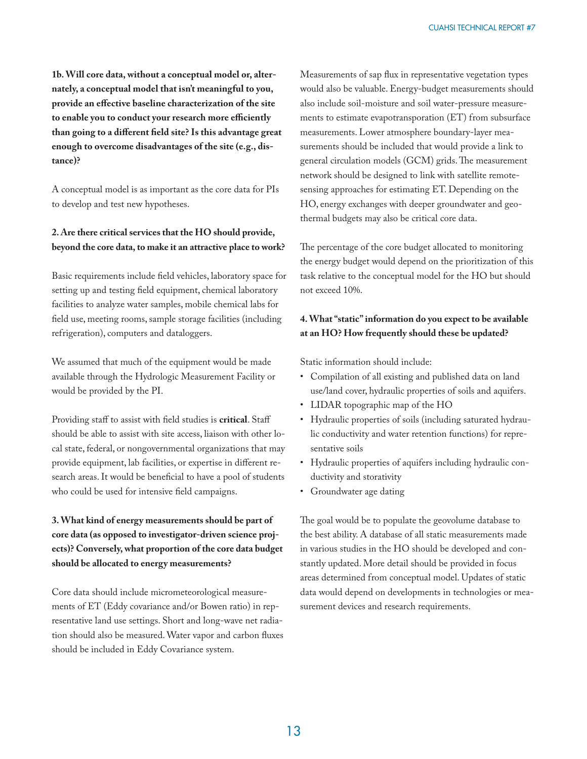**1b. Will core data, without a conceptual model or, alternately, a conceptual model that isn't meaningful to you,**  provide an effective baseline characterization of the site to enable you to conduct your research more efficiently than going to a different field site? Is this advantage great **enough to overcome disadvantages of the site (e.g., distance)?**

A conceptual model is as important as the core data for PIs to develop and test new hypotheses.

#### **2. Are there critical services that the HO should provide, beyond the core data, to make it an attractive place to work?**

Basic requirements include field vehicles, laboratory space for setting up and testing field equipment, chemical laboratory facilities to analyze water samples, mobile chemical labs for field use, meeting rooms, sample storage facilities (including refrigeration), computers and dataloggers.

We assumed that much of the equipment would be made available through the Hydrologic Measurement Facility or would be provided by the PI.

Providing staff to assist with field studies is **critical**. Staff should be able to assist with site access, liaison with other local state, federal, or nongovernmental organizations that may provide equipment, lab facilities, or expertise in different research areas. It would be beneficial to have a pool of students who could be used for intensive field campaigns.

**3. What kind of energy measurements should be part of core data (as opposed to investigator-driven science projects)? Conversely, what proportion of the core data budget should be allocated to energy measurements?**

Core data should include micrometeorological measurements of ET (Eddy covariance and/or Bowen ratio) in representative land use settings. Short and long-wave net radiation should also be measured. Water vapor and carbon fluxes should be included in Eddy Covariance system.

Measurements of sap flux in representative vegetation types would also be valuable. Energy-budget measurements should also include soil-moisture and soil water-pressure measurements to estimate evapotransporation (ET) from subsurface measurements. Lower atmosphere boundary-layer measurements should be included that would provide a link to general circulation models (GCM) grids. The measurement network should be designed to link with satellite remotesensing approaches for estimating ET. Depending on the HO, energy exchanges with deeper groundwater and geothermal budgets may also be critical core data.

The percentage of the core budget allocated to monitoring the energy budget would depend on the prioritization of this task relative to the conceptual model for the HO but should not exceed 10%.

#### **4. What "static" information do you expect to be available at an HO? How frequently should these be updated?**

Static information should include:

- Compilation of all existing and published data on land use/land cover, hydraulic properties of soils and aquifers.
- LIDAR topographic map of the HO
- Hydraulic properties of soils (including saturated hydraulic conductivity and water retention functions) for representative soils
- Hydraulic properties of aquifers including hydraulic conductivity and storativity
- Groundwater age dating

The goal would be to populate the geovolume database to the best ability. A database of all static measurements made in various studies in the HO should be developed and constantly updated. More detail should be provided in focus areas determined from conceptual model. Updates of static data would depend on developments in technologies or measurement devices and research requirements.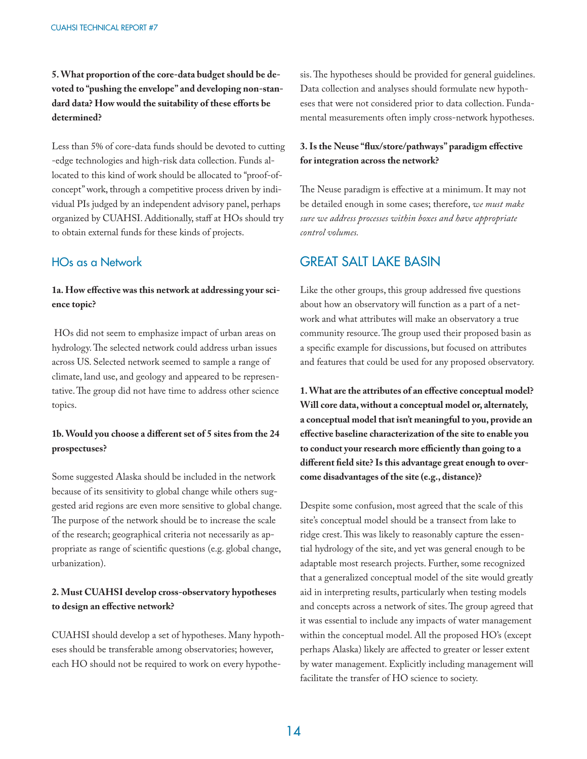**5. What proportion of the core-data budget should be devoted to "pushing the envelope" and developing non-stan**dard data? How would the suitability of these efforts be **determined?**

Less than 5% of core-data funds should be devoted to cutting -edge technologies and high-risk data collection. Funds allocated to this kind of work should be allocated to "proof-ofconcept" work, through a competitive process driven by individual PIs judged by an independent advisory panel, perhaps organized by CUAHSI. Additionally, staff at HOs should try to obtain external funds for these kinds of projects.

#### HOs as a Network

#### 1a. How effective was this network at addressing your sci**ence topic?**

 HOs did not seem to emphasize impact of urban areas on hydrology. The selected network could address urban issues across US. Selected network seemed to sample a range of climate, land use, and geology and appeared to be representative. The group did not have time to address other science topics.

#### 1b. Would you choose a different set of 5 sites from the 24 **prospectuses?**

Some suggested Alaska should be included in the network because of its sensitivity to global change while others suggested arid regions are even more sensitive to global change. The purpose of the network should be to increase the scale of the research; geographical criteria not necessarily as appropriate as range of scientific questions (e.g. global change, urbanization).

#### **2. Must CUAHSI develop cross-observatory hypotheses**  to design an effective network?

CUAHSI should develop a set of hypotheses. Many hypotheses should be transferable among observatories; however, each HO should not be required to work on every hypothesis. The hypotheses should be provided for general guidelines. Data collection and analyses should formulate new hypotheses that were not considered prior to data collection. Fundamental measurements often imply cross-network hypotheses.

#### 3. Is the Neuse "flux/store/pathways" paradigm effective **for integration across the network?**

The Neuse paradigm is effective at a minimum. It may not be detailed enough in some cases; therefore, *we must make sure we address processes within boxes and have appropriate control volumes.*

## GREAT SALT LAKE BASIN

Like the other groups, this group addressed five questions about how an observatory will function as a part of a network and what attributes will make an observatory a true community resource. The group used their proposed basin as a specific example for discussions, but focused on attributes and features that could be used for any proposed observatory.

1. What are the attributes of an effective conceptual model? **Will core data, without a conceptual model or, alternately, a conceptual model that isn't meaningful to you, provide an**  effective baseline characterization of the site to enable you to conduct your research more efficiently than going to a different field site? Is this advantage great enough to over**come disadvantages of the site (e.g., distance)?**

Despite some confusion, most agreed that the scale of this site's conceptual model should be a transect from lake to ridge crest. This was likely to reasonably capture the essential hydrology of the site, and yet was general enough to be adaptable most research projects. Further, some recognized that a generalized conceptual model of the site would greatly aid in interpreting results, particularly when testing models and concepts across a network of sites. The group agreed that it was essential to include any impacts of water management within the conceptual model. All the proposed HO's (except perhaps Alaska) likely are affected to greater or lesser extent by water management. Explicitly including management will facilitate the transfer of HO science to society.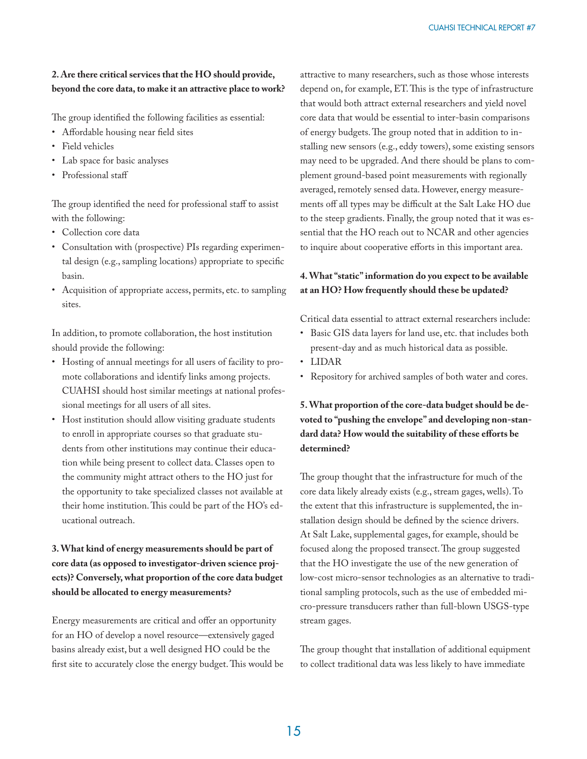#### **2. Are there critical services that the HO should provide, beyond the core data, to make it an attractive place to work?**

The group identified the following facilities as essential:

- Affordable housing near field sites
- Field vehicles
- Lab space for basic analyses
- Professional staff

The group identified the need for professional staff to assist with the following:

- Collection core data
- Consultation with (prospective) PIs regarding experimental design (e.g., sampling locations) appropriate to specific basin.
- Acquisition of appropriate access, permits, etc. to sampling sites.

In addition, to promote collaboration, the host institution should provide the following:

- Hosting of annual meetings for all users of facility to promote collaborations and identify links among projects. CUAHSI should host similar meetings at national professional meetings for all users of all sites.
- Host institution should allow visiting graduate students to enroll in appropriate courses so that graduate students from other institutions may continue their education while being present to collect data. Classes open to the community might attract others to the HO just for the opportunity to take specialized classes not available at their home institution. This could be part of the HO's educational outreach.

#### **3. What kind of energy measurements should be part of core data (as opposed to investigator-driven science projects)? Conversely, what proportion of the core data budget should be allocated to energy measurements?**

Energy measurements are critical and offer an opportunity for an HO of develop a novel resource—extensively gaged basins already exist, but a well designed HO could be the first site to accurately close the energy budget. This would be attractive to many researchers, such as those whose interests depend on, for example, ET. This is the type of infrastructure that would both attract external researchers and yield novel core data that would be essential to inter-basin comparisons of energy budgets. The group noted that in addition to installing new sensors (e.g., eddy towers), some existing sensors may need to be upgraded. And there should be plans to complement ground-based point measurements with regionally averaged, remotely sensed data. However, energy measurements off all types may be difficult at the Salt Lake HO due to the steep gradients. Finally, the group noted that it was essential that the HO reach out to NCAR and other agencies to inquire about cooperative efforts in this important area.

#### **4. What "static" information do you expect to be available at an HO? How frequently should these be updated?**

Critical data essential to attract external researchers include:

- Basic GIS data layers for land use, etc. that includes both present-day and as much historical data as possible.
- LIDAR
- Repository for archived samples of both water and cores.

**5. What proportion of the core-data budget should be devoted to "pushing the envelope" and developing non-stan**dard data? How would the suitability of these efforts be **determined?**

The group thought that the infrastructure for much of the core data likely already exists (e.g., stream gages, wells). To the extent that this infrastructure is supplemented, the installation design should be defined by the science drivers. At Salt Lake, supplemental gages, for example, should be focused along the proposed transect. The group suggested that the HO investigate the use of the new generation of low-cost micro-sensor technologies as an alternative to traditional sampling protocols, such as the use of embedded micro-pressure transducers rather than full-blown USGS-type stream gages.

The group thought that installation of additional equipment to collect traditional data was less likely to have immediate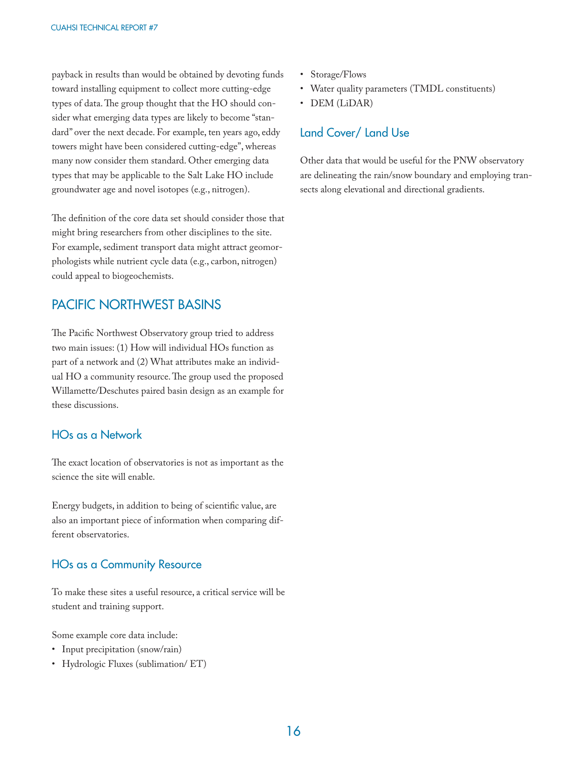payback in results than would be obtained by devoting funds toward installing equipment to collect more cutting-edge types of data. The group thought that the HO should consider what emerging data types are likely to become "standard" over the next decade. For example, ten years ago, eddy towers might have been considered cutting-edge", whereas many now consider them standard. Other emerging data types that may be applicable to the Salt Lake HO include groundwater age and novel isotopes (e.g., nitrogen).

The definition of the core data set should consider those that might bring researchers from other disciplines to the site. For example, sediment transport data might attract geomorphologists while nutrient cycle data (e.g., carbon, nitrogen) could appeal to biogeochemists.

## PACIFIC NORTHWEST BASINS

The Pacific Northwest Observatory group tried to address two main issues: (1) How will individual HOs function as part of a network and (2) What attributes make an individual HO a community resource. The group used the proposed Willamette/Deschutes paired basin design as an example for these discussions.

#### HOs as a Network

The exact location of observatories is not as important as the science the site will enable.

Energy budgets, in addition to being of scientific value, are also an important piece of information when comparing different observatories.

#### HOs as a Community Resource

To make these sites a useful resource, a critical service will be student and training support.

Some example core data include:

- Input precipitation (snow/rain)
- Hydrologic Fluxes (sublimation/ ET)
- Storage/Flows
- Water quality parameters (TMDL constituents)
- DEM (LiDAR)

### Land Cover/ Land Use

Other data that would be useful for the PNW observatory are delineating the rain/snow boundary and employing transects along elevational and directional gradients.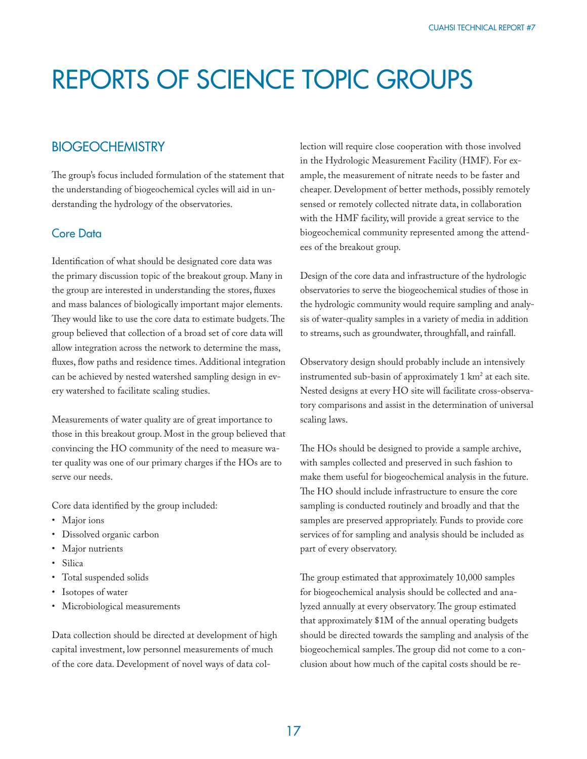## REPORTS OF SCIENCE TOPIC GROUPS

### **BIOGEOCHEMISTRY**

The group's focus included formulation of the statement that the understanding of biogeochemical cycles will aid in understanding the hydrology of the observatories.

#### Core Data

Identification of what should be designated core data was the primary discussion topic of the breakout group. Many in the group are interested in understanding the stores, fluxes and mass balances of biologically important major elements. They would like to use the core data to estimate budgets. The group believed that collection of a broad set of core data will allow integration across the network to determine the mass, fluxes, flow paths and residence times. Additional integration can be achieved by nested watershed sampling design in every watershed to facilitate scaling studies.

Measurements of water quality are of great importance to those in this breakout group. Most in the group believed that convincing the HO community of the need to measure water quality was one of our primary charges if the HOs are to serve our needs.

Core data identified by the group included:

- Major ions
- Dissolved organic carbon
- Major nutrients
- Silica
- Total suspended solids
- Isotopes of water
- Microbiological measurements

Data collection should be directed at development of high capital investment, low personnel measurements of much of the core data. Development of novel ways of data collection will require close cooperation with those involved in the Hydrologic Measurement Facility (HMF). For example, the measurement of nitrate needs to be faster and cheaper. Development of better methods, possibly remotely sensed or remotely collected nitrate data, in collaboration with the HMF facility, will provide a great service to the biogeochemical community represented among the attendees of the breakout group.

Design of the core data and infrastructure of the hydrologic observatories to serve the biogeochemical studies of those in the hydrologic community would require sampling and analysis of water-quality samples in a variety of media in addition to streams, such as groundwater, throughfall, and rainfall.

Observatory design should probably include an intensively instrumented sub-basin of approximately  $1 \text{ km}^2$  at each site. Nested designs at every HO site will facilitate cross-observatory comparisons and assist in the determination of universal scaling laws.

The HOs should be designed to provide a sample archive, with samples collected and preserved in such fashion to make them useful for biogeochemical analysis in the future. The HO should include infrastructure to ensure the core sampling is conducted routinely and broadly and that the samples are preserved appropriately. Funds to provide core services of for sampling and analysis should be included as part of every observatory.

The group estimated that approximately 10,000 samples for biogeochemical analysis should be collected and analyzed annually at every observatory. The group estimated that approximately \$1M of the annual operating budgets should be directed towards the sampling and analysis of the biogeochemical samples. The group did not come to a conclusion about how much of the capital costs should be re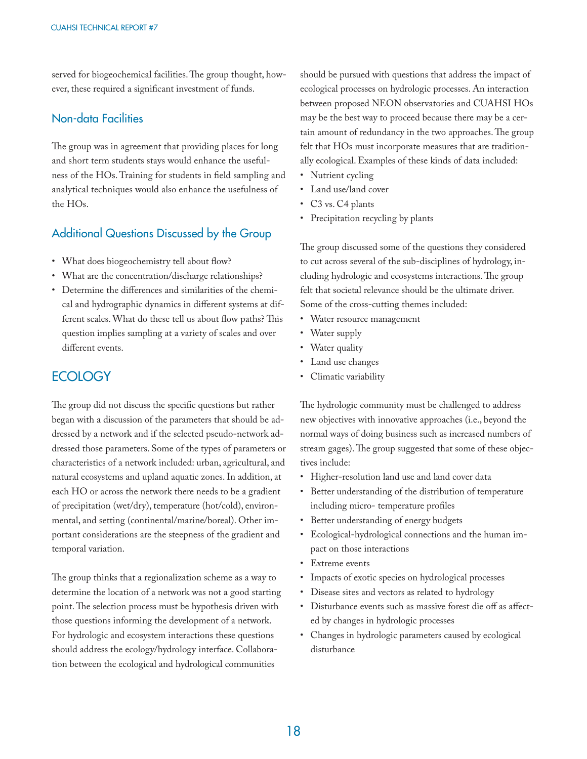served for biogeochemical facilities. The group thought, however, these required a significant investment of funds.

#### Non-data Facilities

The group was in agreement that providing places for long and short term students stays would enhance the usefulness of the HOs. Training for students in field sampling and analytical techniques would also enhance the usefulness of the HOs.

### Additional Questions Discussed by the Group

- What does biogeochemistry tell about flow?
- What are the concentration/discharge relationships?
- Determine the differences and similarities of the chemical and hydrographic dynamics in different systems at different scales. What do these tell us about flow paths? This question implies sampling at a variety of scales and over different events.

## **ECOLOGY**

The group did not discuss the specific questions but rather began with a discussion of the parameters that should be addressed by a network and if the selected pseudo-network addressed those parameters. Some of the types of parameters or characteristics of a network included: urban, agricultural, and natural ecosystems and upland aquatic zones. In addition, at each HO or across the network there needs to be a gradient of precipitation (wet/dry), temperature (hot/cold), environmental, and setting (continental/marine/boreal). Other important considerations are the steepness of the gradient and temporal variation.

The group thinks that a regionalization scheme as a way to determine the location of a network was not a good starting point. The selection process must be hypothesis driven with those questions informing the development of a network. For hydrologic and ecosystem interactions these questions should address the ecology/hydrology interface. Collaboration between the ecological and hydrological communities

should be pursued with questions that address the impact of ecological processes on hydrologic processes. An interaction between proposed NEON observatories and CUAHSI HOs may be the best way to proceed because there may be a certain amount of redundancy in the two approaches. The group felt that HOs must incorporate measures that are traditionally ecological. Examples of these kinds of data included:

- Nutrient cycling
- Land use/land cover
- C3 vs. C4 plants
- Precipitation recycling by plants

The group discussed some of the questions they considered to cut across several of the sub-disciplines of hydrology, including hydrologic and ecosystems interactions. The group felt that societal relevance should be the ultimate driver. Some of the cross-cutting themes included:

- Water resource management
- Water supply
- Water quality
- Land use changes
- Climatic variability

The hydrologic community must be challenged to address new objectives with innovative approaches (i.e., beyond the normal ways of doing business such as increased numbers of stream gages). The group suggested that some of these objectives include:

- Higher-resolution land use and land cover data
- Better understanding of the distribution of temperature including micro- temperature profiles
- Better understanding of energy budgets
- Ecological-hydrological connections and the human impact on those interactions
- Extreme events
- Impacts of exotic species on hydrological processes
- Disease sites and vectors as related to hydrology
- Disturbance events such as massive forest die off as affected by changes in hydrologic processes
- Changes in hydrologic parameters caused by ecological disturbance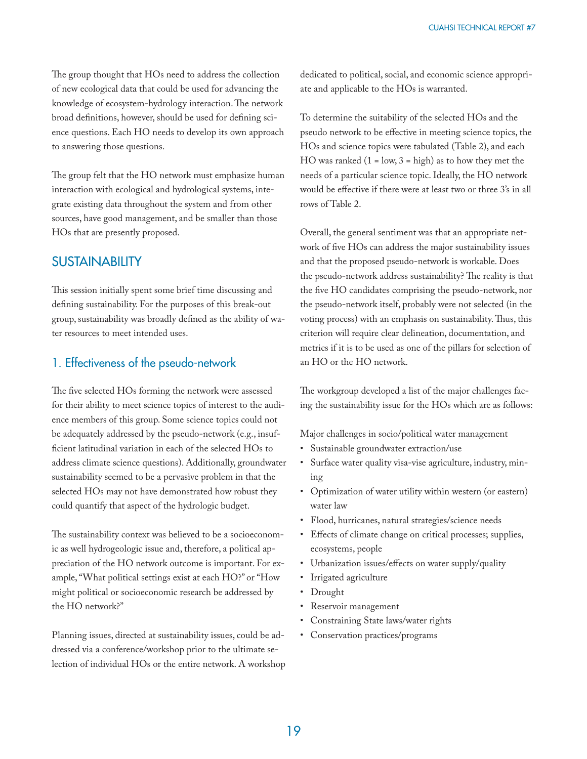The group thought that HOs need to address the collection of new ecological data that could be used for advancing the knowledge of ecosystem-hydrology interaction. The network broad definitions, however, should be used for defining science questions. Each HO needs to develop its own approach to answering those questions.

The group felt that the HO network must emphasize human interaction with ecological and hydrological systems, integrate existing data throughout the system and from other sources, have good management, and be smaller than those HOs that are presently proposed.

#### **SUSTAINABILITY**

This session initially spent some brief time discussing and defining sustainability. For the purposes of this break-out group, sustainability was broadly defined as the ability of water resources to meet intended uses.

### 1. Effectiveness of the pseudo-network

The five selected HOs forming the network were assessed for their ability to meet science topics of interest to the audience members of this group. Some science topics could not be adequately addressed by the pseudo-network (e.g., insufficient latitudinal variation in each of the selected HOs to address climate science questions). Additionally, groundwater sustainability seemed to be a pervasive problem in that the selected HOs may not have demonstrated how robust they could quantify that aspect of the hydrologic budget.

The sustainability context was believed to be a socioeconomic as well hydrogeologic issue and, therefore, a political appreciation of the HO network outcome is important. For example, "What political settings exist at each HO?" or "How might political or socioeconomic research be addressed by the HO network?"

Planning issues, directed at sustainability issues, could be addressed via a conference/workshop prior to the ultimate selection of individual HOs or the entire network. A workshop dedicated to political, social, and economic science appropriate and applicable to the HOs is warranted.

To determine the suitability of the selected HOs and the pseudo network to be effective in meeting science topics, the HOs and science topics were tabulated (Table 2), and each HO was ranked  $(1 = low, 3 = high)$  as to how they met the needs of a particular science topic. Ideally, the HO network would be effective if there were at least two or three 3's in all rows of Table 2.

Overall, the general sentiment was that an appropriate network of five HOs can address the major sustainability issues and that the proposed pseudo-network is workable. Does the pseudo-network address sustainability? The reality is that the five HO candidates comprising the pseudo-network, nor the pseudo-network itself, probably were not selected (in the voting process) with an emphasis on sustainability. Thus, this criterion will require clear delineation, documentation, and metrics if it is to be used as one of the pillars for selection of an HO or the HO network.

The workgroup developed a list of the major challenges facing the sustainability issue for the HOs which are as follows:

Major challenges in socio/political water management

- Sustainable groundwater extraction/use
- Surface water quality visa-vise agriculture, industry, mining
- Optimization of water utility within western (or eastern) water law
- Flood, hurricanes, natural strategies/science needs
- Effects of climate change on critical processes; supplies, ecosystems, people
- Urbanization issues/effects on water supply/quality
- Irrigated agriculture
- Drought
- Reservoir management
- Constraining State laws/water rights
- Conservation practices/programs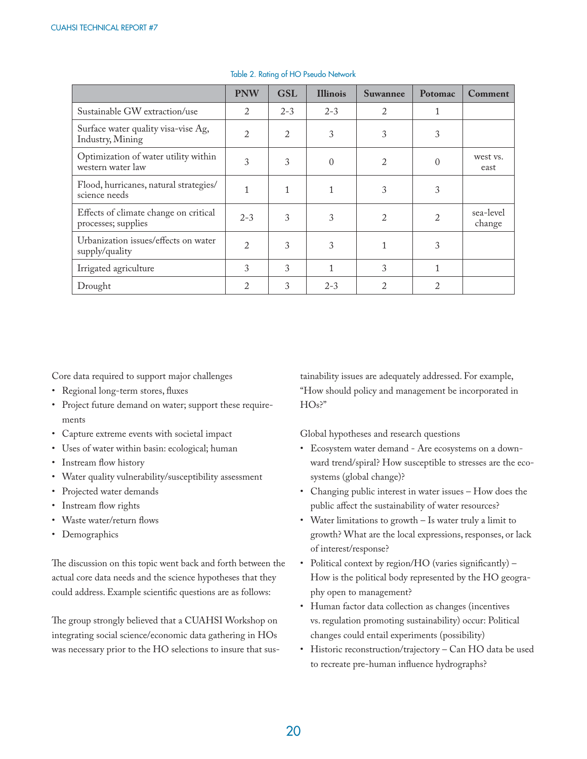|                                                              | <b>PNW</b> | <b>GSL</b> | <b>Illinois</b>  | <b>Suwannee</b> | Potomac  | Comment             |
|--------------------------------------------------------------|------------|------------|------------------|-----------------|----------|---------------------|
| Sustainable GW extraction/use                                | 2          | $2 - 3$    | $2 - 3$          | 2               |          |                     |
| Surface water quality visa-vise Ag,<br>Industry, Mining      | 2          | 2          | 3                | 3               | 3        |                     |
| Optimization of water utility within<br>western water law    | 3          | 3          | $\left( \right)$ | $\overline{2}$  | $\Omega$ | west vs.<br>east    |
| Flood, hurricanes, natural strategies/<br>science needs      |            |            |                  | 3               | 3        |                     |
| Effects of climate change on critical<br>processes; supplies | $2 - 3$    | 3          | 3                | $\overline{2}$  | 2        | sea-level<br>change |
| Urbanization issues/effects on water<br>supply/quality       | 2          | 3          | 3                |                 | 3        |                     |
| Irrigated agriculture                                        | 3          | 3          |                  | 3               | 1        |                     |
| Drought                                                      | 2          | 3          | $2 - 3$          |                 | 2        |                     |

#### Table 2. Rating of HO Pseudo Network

Core data required to support major challenges

- Regional long-term stores, fluxes
- Project future demand on water; support these requirements
- Capture extreme events with societal impact
- Uses of water within basin: ecological; human
- Instream flow history
- Water quality vulnerability/susceptibility assessment
- Projected water demands
- Instream flow rights
- Waste water/return flows
- Demographics

The discussion on this topic went back and forth between the actual core data needs and the science hypotheses that they could address. Example scientific questions are as follows:

The group strongly believed that a CUAHSI Workshop on integrating social science/economic data gathering in HOs was necessary prior to the HO selections to insure that sustainability issues are adequately addressed. For example, "How should policy and management be incorporated in HOs?"

Global hypotheses and research questions

- Ecosystem water demand Are ecosystems on a downward trend/spiral? How susceptible to stresses are the ecosystems (global change)?
- Changing public interest in water issues How does the public affect the sustainability of water resources?
- Water limitations to growth Is water truly a limit to growth? What are the local expressions, responses, or lack of interest/response?
- Political context by region/HO (varies significantly) -How is the political body represented by the HO geography open to management?
- Human factor data collection as changes (incentives vs. regulation promoting sustainability) occur: Political changes could entail experiments (possibility)
- Historic reconstruction/trajectory Can HO data be used to recreate pre-human influence hydrographs?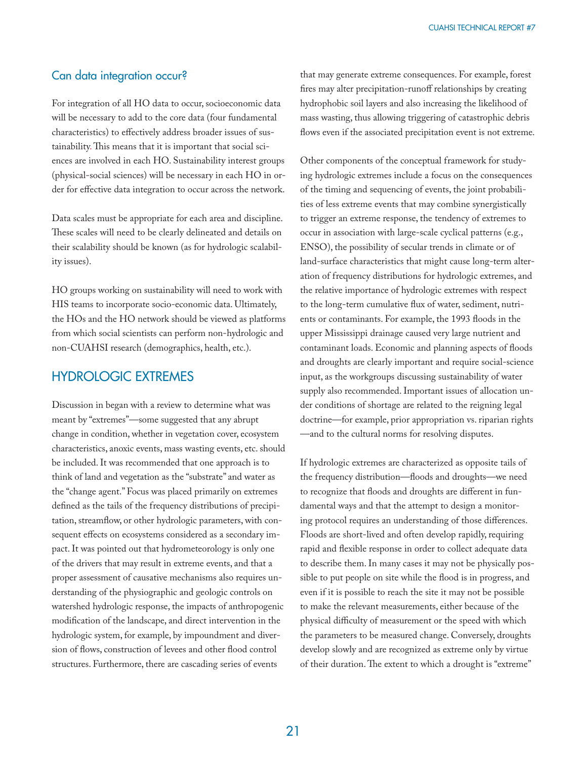#### Can data integration occur?

For integration of all HO data to occur, socioeconomic data will be necessary to add to the core data (four fundamental characteristics) to effectively address broader issues of sustainability. This means that it is important that social sciences are involved in each HO. Sustainability interest groups (physical-social sciences) will be necessary in each HO in order for effective data integration to occur across the network.

Data scales must be appropriate for each area and discipline. These scales will need to be clearly delineated and details on their scalability should be known (as for hydrologic scalability issues).

HO groups working on sustainability will need to work with HIS teams to incorporate socio-economic data. Ultimately, the HOs and the HO network should be viewed as platforms from which social scientists can perform non-hydrologic and non-CUAHSI research (demographics, health, etc.).

### HYDROLOGIC EXTREMES

Discussion in began with a review to determine what was meant by "extremes"—some suggested that any abrupt change in condition, whether in vegetation cover, ecosystem characteristics, anoxic events, mass wasting events, etc. should be included. It was recommended that one approach is to think of land and vegetation as the "substrate" and water as the "change agent." Focus was placed primarily on extremes defined as the tails of the frequency distributions of precipitation, streamflow, or other hydrologic parameters, with consequent effects on ecosystems considered as a secondary impact. It was pointed out that hydrometeorology is only one of the drivers that may result in extreme events, and that a proper assessment of causative mechanisms also requires understanding of the physiographic and geologic controls on watershed hydrologic response, the impacts of anthropogenic modification of the landscape, and direct intervention in the hydrologic system, for example, by impoundment and diversion of flows, construction of levees and other flood control structures. Furthermore, there are cascading series of events

that may generate extreme consequences. For example, forest fires may alter precipitation-runoff relationships by creating hydrophobic soil layers and also increasing the likelihood of mass wasting, thus allowing triggering of catastrophic debris flows even if the associated precipitation event is not extreme.

Other components of the conceptual framework for studying hydrologic extremes include a focus on the consequences of the timing and sequencing of events, the joint probabilities of less extreme events that may combine synergistically to trigger an extreme response, the tendency of extremes to occur in association with large-scale cyclical patterns (e.g., ENSO), the possibility of secular trends in climate or of land-surface characteristics that might cause long-term alteration of frequency distributions for hydrologic extremes, and the relative importance of hydrologic extremes with respect to the long-term cumulative flux of water, sediment, nutrients or contaminants. For example, the 1993 floods in the upper Mississippi drainage caused very large nutrient and contaminant loads. Economic and planning aspects of floods and droughts are clearly important and require social-science input, as the workgroups discussing sustainability of water supply also recommended. Important issues of allocation under conditions of shortage are related to the reigning legal doctrine—for example, prior appropriation vs. riparian rights —and to the cultural norms for resolving disputes.

If hydrologic extremes are characterized as opposite tails of the frequency distribution—floods and droughts—we need to recognize that floods and droughts are different in fundamental ways and that the attempt to design a monitoring protocol requires an understanding of those differences. Floods are short-lived and often develop rapidly, requiring rapid and flexible response in order to collect adequate data to describe them. In many cases it may not be physically possible to put people on site while the flood is in progress, and even if it is possible to reach the site it may not be possible to make the relevant measurements, either because of the physical difficulty of measurement or the speed with which the parameters to be measured change. Conversely, droughts develop slowly and are recognized as extreme only by virtue of their duration. The extent to which a drought is "extreme"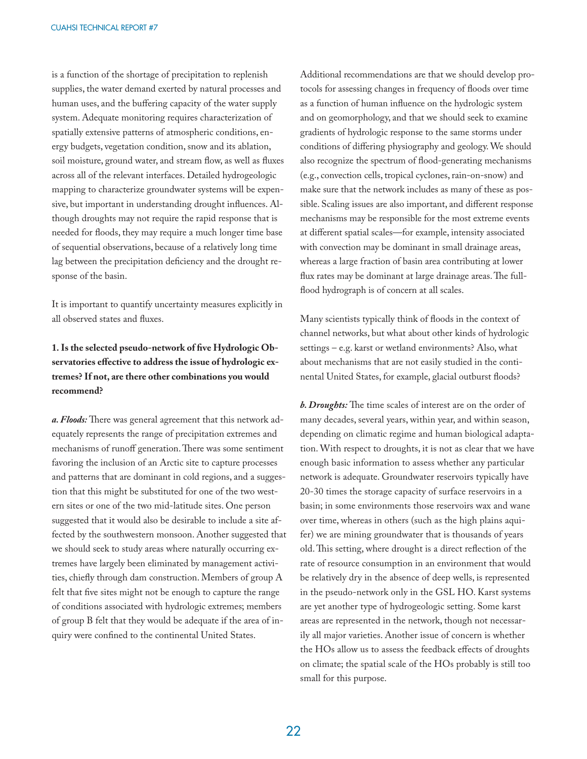is a function of the shortage of precipitation to replenish supplies, the water demand exerted by natural processes and human uses, and the buffering capacity of the water supply system. Adequate monitoring requires characterization of spatially extensive patterns of atmospheric conditions, energy budgets, vegetation condition, snow and its ablation, soil moisture, ground water, and stream flow, as well as fluxes across all of the relevant interfaces. Detailed hydrogeologic mapping to characterize groundwater systems will be expensive, but important in understanding drought influences. Although droughts may not require the rapid response that is needed for floods, they may require a much longer time base of sequential observations, because of a relatively long time lag between the precipitation deficiency and the drought response of the basin.

It is important to quantify uncertainty measures explicitly in all observed states and fluxes.

#### 1. Is the selected pseudo-network of five Hydrologic Observatories effective to address the issue of hydrologic ex**tremes? If not, are there other combinations you would recommend?**

a. Floods: There was general agreement that this network adequately represents the range of precipitation extremes and mechanisms of runoff generation. There was some sentiment favoring the inclusion of an Arctic site to capture processes and patterns that are dominant in cold regions, and a suggestion that this might be substituted for one of the two western sites or one of the two mid-latitude sites. One person suggested that it would also be desirable to include a site affected by the southwestern monsoon. Another suggested that we should seek to study areas where naturally occurring extremes have largely been eliminated by management activities, chiefly through dam construction. Members of group A felt that five sites might not be enough to capture the range of conditions associated with hydrologic extremes; members of group B felt that they would be adequate if the area of inquiry were confined to the continental United States.

Additional recommendations are that we should develop protocols for assessing changes in frequency of floods over time as a function of human influence on the hydrologic system and on geomorphology, and that we should seek to examine gradients of hydrologic response to the same storms under conditions of differing physiography and geology. We should also recognize the spectrum of flood-generating mechanisms (e.g., convection cells, tropical cyclones, rain-on-snow) and make sure that the network includes as many of these as possible. Scaling issues are also important, and different response mechanisms may be responsible for the most extreme events at different spatial scales—for example, intensity associated with convection may be dominant in small drainage areas, whereas a large fraction of basin area contributing at lower flux rates may be dominant at large drainage areas. The fullflood hydrograph is of concern at all scales.

Many scientists typically think of floods in the context of channel networks, but what about other kinds of hydrologic settings – e.g. karst or wetland environments? Also, what about mechanisms that are not easily studied in the continental United States, for example, glacial outburst floods?

**b. Droughts:** The time scales of interest are on the order of many decades, several years, within year, and within season, depending on climatic regime and human biological adaptation. With respect to droughts, it is not as clear that we have enough basic information to assess whether any particular network is adequate. Groundwater reservoirs typically have 20-30 times the storage capacity of surface reservoirs in a basin; in some environments those reservoirs wax and wane over time, whereas in others (such as the high plains aquifer) we are mining groundwater that is thousands of years old. This setting, where drought is a direct reflection of the rate of resource consumption in an environment that would be relatively dry in the absence of deep wells, is represented in the pseudo-network only in the GSL HO. Karst systems are yet another type of hydrogeologic setting. Some karst areas are represented in the network, though not necessarily all major varieties. Another issue of concern is whether the HOs allow us to assess the feedback effects of droughts on climate; the spatial scale of the HOs probably is still too small for this purpose.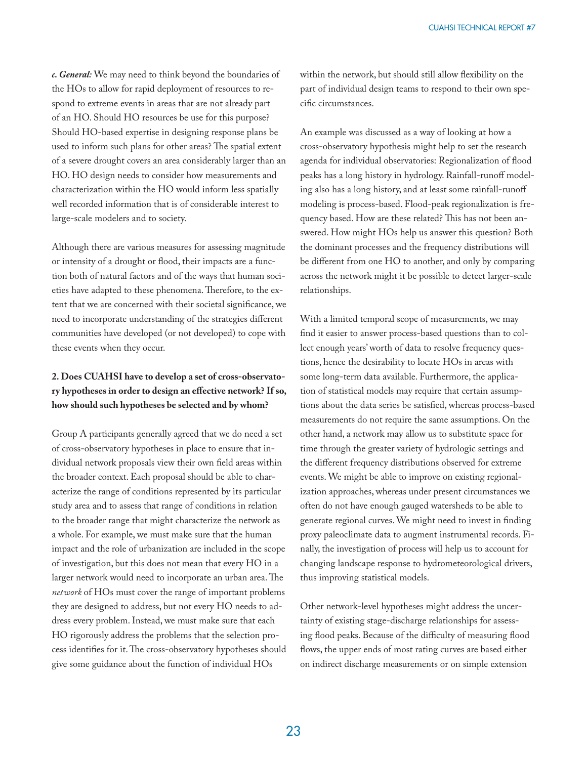*c. General:* We may need to think beyond the boundaries of the HOs to allow for rapid deployment of resources to respond to extreme events in areas that are not already part of an HO. Should HO resources be use for this purpose? Should HO-based expertise in designing response plans be used to inform such plans for other areas? The spatial extent of a severe drought covers an area considerably larger than an HO. HO design needs to consider how measurements and characterization within the HO would inform less spatially well recorded information that is of considerable interest to large-scale modelers and to society.

Although there are various measures for assessing magnitude or intensity of a drought or flood, their impacts are a function both of natural factors and of the ways that human societies have adapted to these phenomena. Therefore, to the extent that we are concerned with their societal significance, we need to incorporate understanding of the strategies different communities have developed (or not developed) to cope with these events when they occur.

#### **2. Does CUAHSI have to develop a set of cross-observato**ry hypotheses in order to design an effective network? If so, **how should such hypotheses be selected and by whom?**

Group A participants generally agreed that we do need a set of cross-observatory hypotheses in place to ensure that individual network proposals view their own field areas within the broader context. Each proposal should be able to characterize the range of conditions represented by its particular study area and to assess that range of conditions in relation to the broader range that might characterize the network as a whole. For example, we must make sure that the human impact and the role of urbanization are included in the scope of investigation, but this does not mean that every HO in a larger network would need to incorporate an urban area. The *network* of HOs must cover the range of important problems they are designed to address, but not every HO needs to address every problem. Instead, we must make sure that each HO rigorously address the problems that the selection process identifies for it. The cross-observatory hypotheses should give some guidance about the function of individual HOs

within the network, but should still allow flexibility on the part of individual design teams to respond to their own specific circumstances.

An example was discussed as a way of looking at how a cross-observatory hypothesis might help to set the research agenda for individual observatories: Regionalization of flood peaks has a long history in hydrology. Rainfall-runoff modeling also has a long history, and at least some rainfall-runoff modeling is process-based. Flood-peak regionalization is frequency based. How are these related? This has not been answered. How might HOs help us answer this question? Both the dominant processes and the frequency distributions will be different from one HO to another, and only by comparing across the network might it be possible to detect larger-scale relationships.

With a limited temporal scope of measurements, we may find it easier to answer process-based questions than to collect enough years' worth of data to resolve frequency questions, hence the desirability to locate HOs in areas with some long-term data available. Furthermore, the application of statistical models may require that certain assumptions about the data series be satisfied, whereas process-based measurements do not require the same assumptions. On the other hand, a network may allow us to substitute space for time through the greater variety of hydrologic settings and the different frequency distributions observed for extreme events. We might be able to improve on existing regionalization approaches, whereas under present circumstances we often do not have enough gauged watersheds to be able to generate regional curves. We might need to invest in finding proxy paleoclimate data to augment instrumental records. Finally, the investigation of process will help us to account for changing landscape response to hydrometeorological drivers, thus improving statistical models.

Other network-level hypotheses might address the uncertainty of existing stage-discharge relationships for assessing flood peaks. Because of the difficulty of measuring flood flows, the upper ends of most rating curves are based either on indirect discharge measurements or on simple extension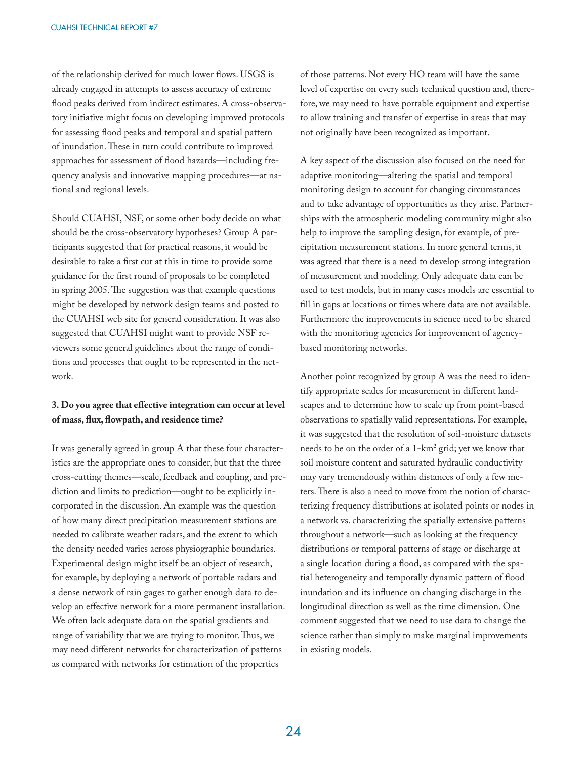of the relationship derived for much lower flows. USGS is already engaged in attempts to assess accuracy of extreme flood peaks derived from indirect estimates. A cross-observatory initiative might focus on developing improved protocols for assessing flood peaks and temporal and spatial pattern of inundation. These in turn could contribute to improved approaches for assessment of flood hazards—including frequency analysis and innovative mapping procedures—at national and regional levels.

Should CUAHSI, NSF, or some other body decide on what should be the cross-observatory hypotheses? Group A participants suggested that for practical reasons, it would be desirable to take a first cut at this in time to provide some guidance for the first round of proposals to be completed in spring 2005. The suggestion was that example questions might be developed by network design teams and posted to the CUAHSI web site for general consideration. It was also suggested that CUAHSI might want to provide NSF reviewers some general guidelines about the range of conditions and processes that ought to be represented in the network.

#### 3. Do you agree that effective integration can occur at level of mass, flux, flowpath, and residence time?

It was generally agreed in group A that these four characteristics are the appropriate ones to consider, but that the three cross-cutting themes—scale, feedback and coupling, and prediction and limits to prediction—ought to be explicitly incorporated in the discussion. An example was the question of how many direct precipitation measurement stations are needed to calibrate weather radars, and the extent to which the density needed varies across physiographic boundaries. Experimental design might itself be an object of research, for example, by deploying a network of portable radars and a dense network of rain gages to gather enough data to develop an effective network for a more permanent installation. We often lack adequate data on the spatial gradients and range of variability that we are trying to monitor. Thus, we may need different networks for characterization of patterns as compared with networks for estimation of the properties

of those patterns. Not every HO team will have the same level of expertise on every such technical question and, therefore, we may need to have portable equipment and expertise to allow training and transfer of expertise in areas that may not originally have been recognized as important.

A key aspect of the discussion also focused on the need for adaptive monitoring—altering the spatial and temporal monitoring design to account for changing circumstances and to take advantage of opportunities as they arise. Partnerships with the atmospheric modeling community might also help to improve the sampling design, for example, of precipitation measurement stations. In more general terms, it was agreed that there is a need to develop strong integration of measurement and modeling. Only adequate data can be used to test models, but in many cases models are essential to fill in gaps at locations or times where data are not available. Furthermore the improvements in science need to be shared with the monitoring agencies for improvement of agencybased monitoring networks.

Another point recognized by group A was the need to identify appropriate scales for measurement in different landscapes and to determine how to scale up from point-based observations to spatially valid representations. For example, it was suggested that the resolution of soil-moisture datasets needs to be on the order of a 1-km<sup>2</sup> grid; yet we know that soil moisture content and saturated hydraulic conductivity may vary tremendously within distances of only a few meters. There is also a need to move from the notion of characterizing frequency distributions at isolated points or nodes in a network vs. characterizing the spatially extensive patterns throughout a network—such as looking at the frequency distributions or temporal patterns of stage or discharge at a single location during a flood, as compared with the spatial heterogeneity and temporally dynamic pattern of flood inundation and its influence on changing discharge in the longitudinal direction as well as the time dimension. One comment suggested that we need to use data to change the science rather than simply to make marginal improvements in existing models.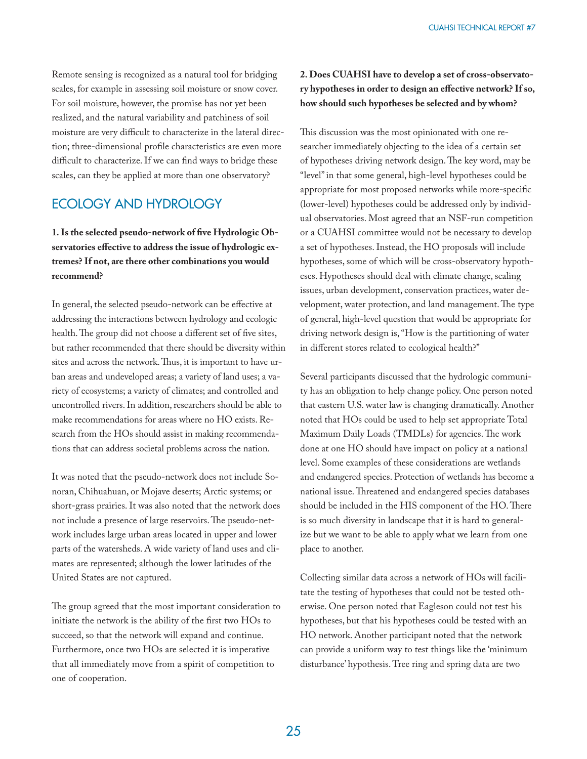Remote sensing is recognized as a natural tool for bridging scales, for example in assessing soil moisture or snow cover. For soil moisture, however, the promise has not yet been realized, and the natural variability and patchiness of soil moisture are very difficult to characterize in the lateral direction; three-dimensional profile characteristics are even more difficult to characterize. If we can find ways to bridge these scales, can they be applied at more than one observatory?

## ECOLOGY AND HYDROLOGY

1. Is the selected pseudo-network of five Hydrologic Observatories effective to address the issue of hydrologic ex**tremes? If not, are there other combinations you would recommend?**

In general, the selected pseudo-network can be effective at addressing the interactions between hydrology and ecologic health. The group did not choose a different set of five sites, but rather recommended that there should be diversity within sites and across the network. Thus, it is important to have urban areas and undeveloped areas; a variety of land uses; a variety of ecosystems; a variety of climates; and controlled and uncontrolled rivers. In addition, researchers should be able to make recommendations for areas where no HO exists. Research from the HOs should assist in making recommendations that can address societal problems across the nation.

It was noted that the pseudo-network does not include Sonoran, Chihuahuan, or Mojave deserts; Arctic systems; or short-grass prairies. It was also noted that the network does not include a presence of large reservoirs. The pseudo-network includes large urban areas located in upper and lower parts of the watersheds. A wide variety of land uses and climates are represented; although the lower latitudes of the United States are not captured.

The group agreed that the most important consideration to initiate the network is the ability of the first two HOs to succeed, so that the network will expand and continue. Furthermore, once two HOs are selected it is imperative that all immediately move from a spirit of competition to one of cooperation.

#### **2. Does CUAHSI have to develop a set of cross-observato**ry hypotheses in order to design an effective network? If so, **how should such hypotheses be selected and by whom?**

This discussion was the most opinionated with one researcher immediately objecting to the idea of a certain set of hypotheses driving network design. The key word, may be "level" in that some general, high-level hypotheses could be appropriate for most proposed networks while more-specific (lower-level) hypotheses could be addressed only by individual observatories. Most agreed that an NSF-run competition or a CUAHSI committee would not be necessary to develop a set of hypotheses. Instead, the HO proposals will include hypotheses, some of which will be cross-observatory hypotheses. Hypotheses should deal with climate change, scaling issues, urban development, conservation practices, water development, water protection, and land management. The type of general, high-level question that would be appropriate for driving network design is, "How is the partitioning of water in different stores related to ecological health?"

Several participants discussed that the hydrologic community has an obligation to help change policy. One person noted that eastern U.S. water law is changing dramatically. Another noted that HOs could be used to help set appropriate Total Maximum Daily Loads (TMDLs) for agencies. The work done at one HO should have impact on policy at a national level. Some examples of these considerations are wetlands and endangered species. Protection of wetlands has become a national issue. Threatened and endangered species databases should be included in the HIS component of the HO. There is so much diversity in landscape that it is hard to generalize but we want to be able to apply what we learn from one place to another.

Collecting similar data across a network of HOs will facilitate the testing of hypotheses that could not be tested otherwise. One person noted that Eagleson could not test his hypotheses, but that his hypotheses could be tested with an HO network. Another participant noted that the network can provide a uniform way to test things like the 'minimum disturbance' hypothesis. Tree ring and spring data are two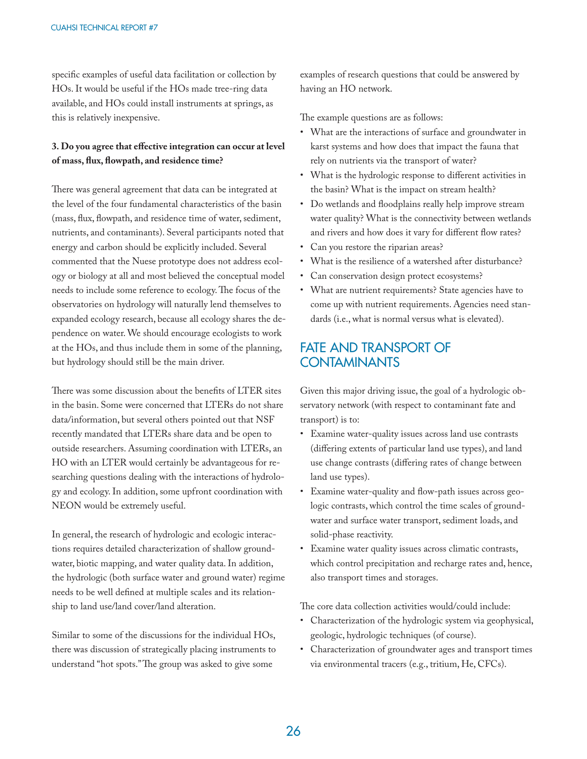specific examples of useful data facilitation or collection by HOs. It would be useful if the HOs made tree-ring data available, and HOs could install instruments at springs, as this is relatively inexpensive.

#### 3. Do you agree that effective integration can occur at level of mass, flux, flowpath, and residence time?

There was general agreement that data can be integrated at the level of the four fundamental characteristics of the basin (mass, flux, flowpath, and residence time of water, sediment, nutrients, and contaminants). Several participants noted that energy and carbon should be explicitly included. Several commented that the Nuese prototype does not address ecology or biology at all and most believed the conceptual model needs to include some reference to ecology. The focus of the observatories on hydrology will naturally lend themselves to expanded ecology research, because all ecology shares the dependence on water. We should encourage ecologists to work at the HOs, and thus include them in some of the planning, but hydrology should still be the main driver.

There was some discussion about the benefits of LTER sites in the basin. Some were concerned that LTERs do not share data/information, but several others pointed out that NSF recently mandated that LTERs share data and be open to outside researchers. Assuming coordination with LTERs, an HO with an LTER would certainly be advantageous for researching questions dealing with the interactions of hydrology and ecology. In addition, some upfront coordination with NEON would be extremely useful.

In general, the research of hydrologic and ecologic interactions requires detailed characterization of shallow groundwater, biotic mapping, and water quality data. In addition, the hydrologic (both surface water and ground water) regime needs to be well defined at multiple scales and its relationship to land use/land cover/land alteration.

Similar to some of the discussions for the individual HOs, there was discussion of strategically placing instruments to understand "hot spots." The group was asked to give some

examples of research questions that could be answered by having an HO network.

The example questions are as follows:

- What are the interactions of surface and groundwater in karst systems and how does that impact the fauna that rely on nutrients via the transport of water?
- What is the hydrologic response to different activities in the basin? What is the impact on stream health?
- Do wetlands and floodplains really help improve stream water quality? What is the connectivity between wetlands and rivers and how does it vary for different flow rates?
- Can you restore the riparian areas?
- What is the resilience of a watershed after disturbance?
- Can conservation design protect ecosystems?
- What are nutrient requirements? State agencies have to come up with nutrient requirements. Agencies need standards (i.e., what is normal versus what is elevated).

## FATE AND TRANSPORT OF **CONTAMINANTS**

Given this major driving issue, the goal of a hydrologic observatory network (with respect to contaminant fate and transport) is to:

- Examine water-quality issues across land use contrasts (differing extents of particular land use types), and land use change contrasts (differing rates of change between land use types).
- Examine water-quality and flow-path issues across geologic contrasts, which control the time scales of groundwater and surface water transport, sediment loads, and solid-phase reactivity.
- Examine water quality issues across climatic contrasts, which control precipitation and recharge rates and, hence, also transport times and storages.

The core data collection activities would/could include:

- Characterization of the hydrologic system via geophysical, geologic, hydrologic techniques (of course).
- Characterization of groundwater ages and transport times via environmental tracers (e.g., tritium, He, CFCs).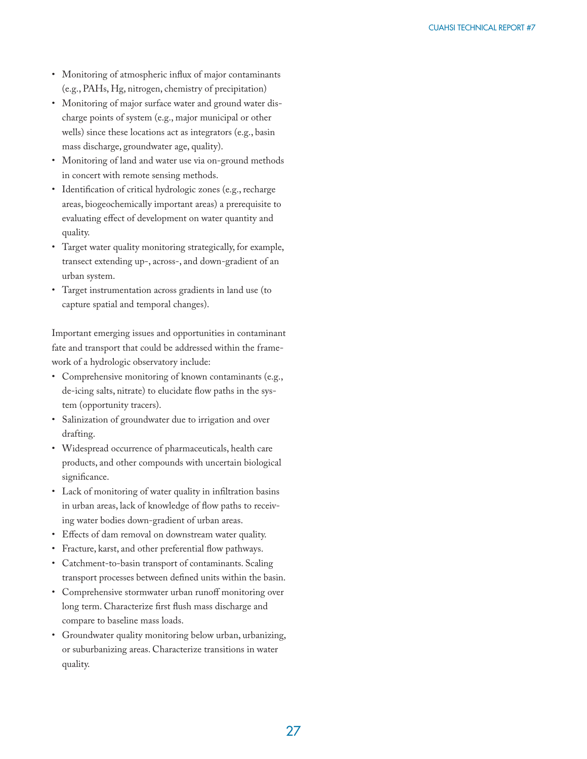- Monitoring of atmospheric influx of major contaminants (e.g., PAHs, Hg, nitrogen, chemistry of precipitation)
- Monitoring of major surface water and ground water discharge points of system (e.g., major municipal or other wells) since these locations act as integrators (e.g., basin mass discharge, groundwater age, quality).
- Monitoring of land and water use via on-ground methods in concert with remote sensing methods.
- Identification of critical hydrologic zones (e.g., recharge areas, biogeochemically important areas) a prerequisite to evaluating effect of development on water quantity and quality.
- Target water quality monitoring strategically, for example, transect extending up-, across-, and down-gradient of an urban system.
- Target instrumentation across gradients in land use (to capture spatial and temporal changes).

Important emerging issues and opportunities in contaminant fate and transport that could be addressed within the framework of a hydrologic observatory include:

- Comprehensive monitoring of known contaminants (e.g., de-icing salts, nitrate) to elucidate flow paths in the system (opportunity tracers).
- Salinization of groundwater due to irrigation and over drafting.
- Widespread occurrence of pharmaceuticals, health care products, and other compounds with uncertain biological significance.
- Lack of monitoring of water quality in infiltration basins in urban areas, lack of knowledge of flow paths to receiving water bodies down-gradient of urban areas.
- Effects of dam removal on downstream water quality.
- Fracture, karst, and other preferential flow pathways.
- Catchment-to-basin transport of contaminants. Scaling transport processes between defined units within the basin.
- Comprehensive stormwater urban runoff monitoring over long term. Characterize first flush mass discharge and compare to baseline mass loads.
- Groundwater quality monitoring below urban, urbanizing, or suburbanizing areas. Characterize transitions in water quality.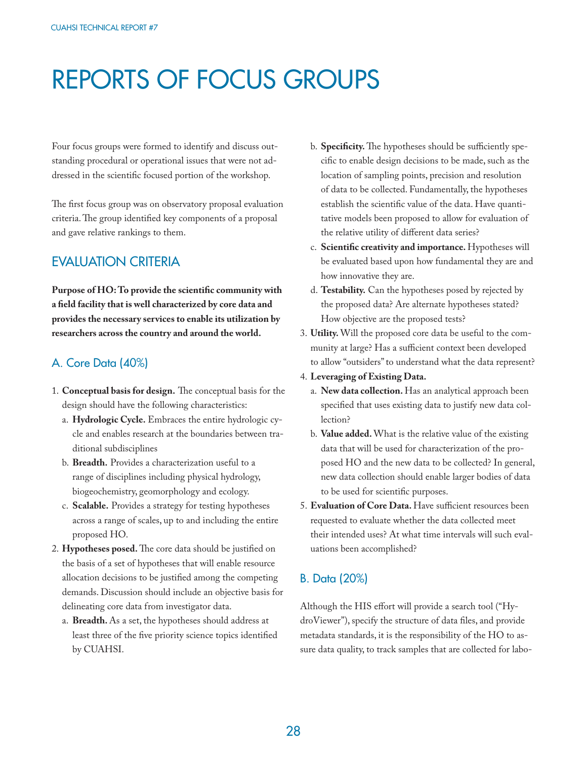## REPORTS OF FOCUS GROUPS

Four focus groups were formed to identify and discuss outstanding procedural or operational issues that were not addressed in the scientific focused portion of the workshop.

The first focus group was on observatory proposal evaluation criteria. The group identified key components of a proposal and gave relative rankings to them.

## EVALUATION CRITERIA

Purpose of HO: To provide the scientific community with **a fi eld facility that is well characterized by core data and provides the necessary services to enable its utilization by researchers across the country and around the world.**

#### A. Core Data (40%)

- 1. **Conceptual basis for design.** The conceptual basis for the design should have the following characteristics:
	- a. **Hydrologic Cycle.** Embraces the entire hydrologic cycle and enables research at the boundaries between traditional subdisciplines
	- b. **Breadth.** Provides a characterization useful to a range of disciplines including physical hydrology, biogeochemistry, geomorphology and ecology.
	- c. **Scalable.** Provides a strategy for testing hypotheses across a range of scales, up to and including the entire proposed HO.
- 2. Hypotheses posed. The core data should be justified on the basis of a set of hypotheses that will enable resource allocation decisions to be justified among the competing demands. Discussion should include an objective basis for delineating core data from investigator data.
	- a. **Breadth.** As a set, the hypotheses should address at least three of the five priority science topics identified by CUAHSI.
- b. **Specificity.** The hypotheses should be sufficiently specific to enable design decisions to be made, such as the location of sampling points, precision and resolution of data to be collected. Fundamentally, the hypotheses establish the scientific value of the data. Have quantitative models been proposed to allow for evaluation of the relative utility of different data series?
- c. Scientific creativity and importance. Hypotheses will be evaluated based upon how fundamental they are and how innovative they are.
- d. **Testability.** Can the hypotheses posed by rejected by the proposed data? Are alternate hypotheses stated? How objective are the proposed tests?
- 3. **Utility.** Will the proposed core data be useful to the community at large? Has a sufficient context been developed to allow "outsiders" to understand what the data represent?
- 4. **Leveraging of Existing Data.** 
	- a. **New data collection.** Has an analytical approach been specified that uses existing data to justify new data collection?
	- b. **Value added.** What is the relative value of the existing data that will be used for characterization of the proposed HO and the new data to be collected? In general, new data collection should enable larger bodies of data to be used for scientific purposes.
- 5. Evaluation of Core Data. Have sufficient resources been requested to evaluate whether the data collected meet their intended uses? At what time intervals will such evaluations been accomplished?

## B. Data (20%)

Although the HIS effort will provide a search tool ("HydroViewer"), specify the structure of data files, and provide metadata standards, it is the responsibility of the HO to assure data quality, to track samples that are collected for labo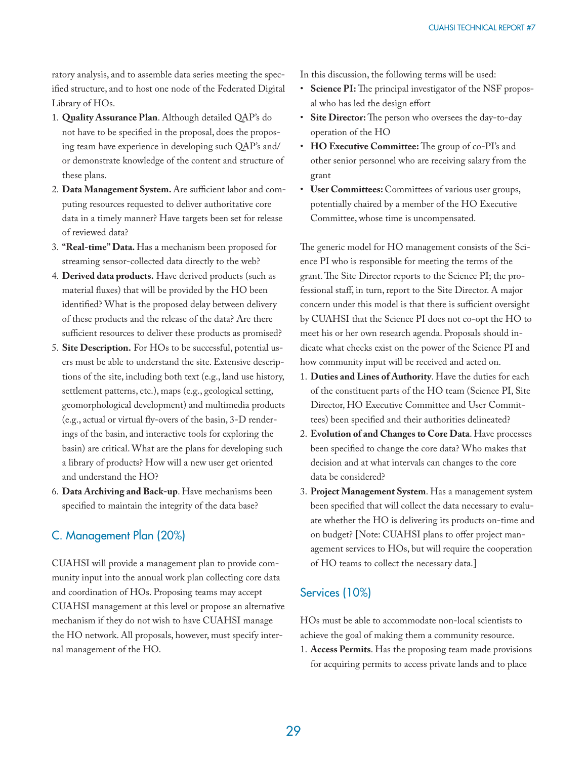ratory analysis, and to assemble data series meeting the specified structure, and to host one node of the Federated Digital Library of HOs.

- 1. **Quality Assurance Plan**. Although detailed QAP's do not have to be specified in the proposal, does the proposing team have experience in developing such QAP's and/ or demonstrate knowledge of the content and structure of these plans.
- 2. Data Management System. Are sufficient labor and computing resources requested to deliver authoritative core data in a timely manner? Have targets been set for release of reviewed data?
- 3. **"Real-time" Data.** Has a mechanism been proposed for streaming sensor-collected data directly to the web?
- 4. **Derived data products.** Have derived products (such as material fluxes) that will be provided by the HO been identified? What is the proposed delay between delivery of these products and the release of the data? Are there sufficient resources to deliver these products as promised?
- 5. **Site Description.** For HOs to be successful, potential users must be able to understand the site. Extensive descriptions of the site, including both text (e.g., land use history, settlement patterns, etc.), maps (e.g., geological setting, geomorphological development) and multimedia products (e.g., actual or virtual fly-overs of the basin,  $3-D$  renderings of the basin, and interactive tools for exploring the basin) are critical. What are the plans for developing such a library of products? How will a new user get oriented and understand the HO?
- 6. **Data Archiving and Back-up**. Have mechanisms been specified to maintain the integrity of the data base?

## C. Management Plan (20%)

CUAHSI will provide a management plan to provide community input into the annual work plan collecting core data and coordination of HOs. Proposing teams may accept CUAHSI management at this level or propose an alternative mechanism if they do not wish to have CUAHSI manage the HO network. All proposals, however, must specify internal management of the HO.

In this discussion, the following terms will be used:

- Science PI: The principal investigator of the NSF proposal who has led the design effort
- Site Director: The person who oversees the day-to-day operation of the HO
- HO Executive Committee: The group of co-PI's and other senior personnel who are receiving salary from the grant
- **User Committees:** Committees of various user groups, potentially chaired by a member of the HO Executive Committee, whose time is uncompensated.

The generic model for HO management consists of the Science PI who is responsible for meeting the terms of the grant. The Site Director reports to the Science PI; the professional staff, in turn, report to the Site Director. A major concern under this model is that there is sufficient oversight by CUAHSI that the Science PI does not co-opt the HO to meet his or her own research agenda. Proposals should indicate what checks exist on the power of the Science PI and how community input will be received and acted on.

- 1. **Duties and Lines of Authority**. Have the duties for each of the constituent parts of the HO team (Science PI, Site Director, HO Executive Committee and User Committees) been specified and their authorities delineated?
- 2. **Evolution of and Changes to Core Data**. Have processes been specified to change the core data? Who makes that decision and at what intervals can changes to the core data be considered?
- 3. **Project Management System**. Has a management system been specified that will collect the data necessary to evaluate whether the HO is delivering its products on-time and on budget? [Note: CUAHSI plans to offer project management services to HOs, but will require the cooperation of HO teams to collect the necessary data.]

## Services (10%)

HOs must be able to accommodate non-local scientists to achieve the goal of making them a community resource.

1. **Access Permits**. Has the proposing team made provisions for acquiring permits to access private lands and to place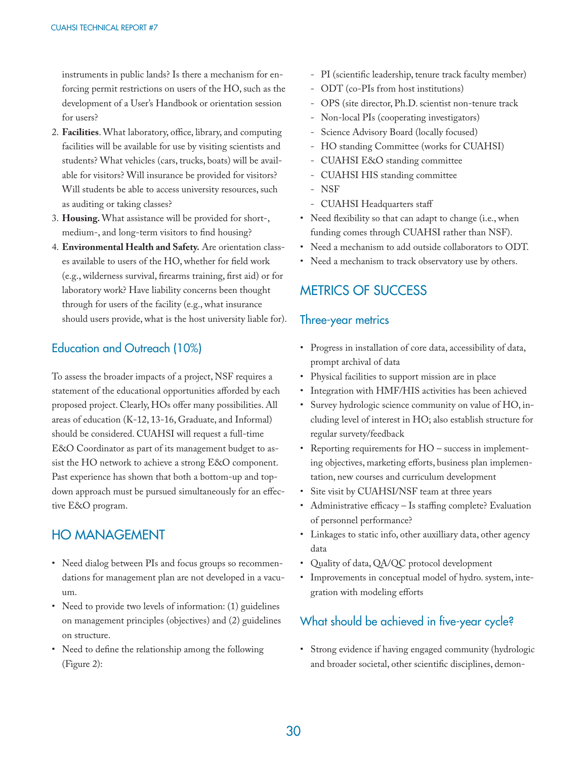instruments in public lands? Is there a mechanism for enforcing permit restrictions on users of the HO, such as the development of a User's Handbook or orientation session for users?

- 2. Facilities. What laboratory, office, library, and computing facilities will be available for use by visiting scientists and students? What vehicles (cars, trucks, boats) will be available for visitors? Will insurance be provided for visitors? Will students be able to access university resources, such as auditing or taking classes?
- 3. **Housing.** What assistance will be provided for short-, medium-, and long-term visitors to find housing?
- 4. **Environmental Health and Safety.** Are orientation classes available to users of the HO, whether for field work (e.g., wilderness survival, firearms training, first aid) or for laboratory work? Have liability concerns been thought through for users of the facility (e.g., what insurance should users provide, what is the host university liable for).

## Education and Outreach (10%)

To assess the broader impacts of a project, NSF requires a statement of the educational opportunities afforded by each proposed project. Clearly, HOs offer many possibilities. All areas of education (K-12, 13-16, Graduate, and Informal) should be considered. CUAHSI will request a full-time E&O Coordinator as part of its management budget to assist the HO network to achieve a strong E&O component. Past experience has shown that both a bottom-up and topdown approach must be pursued simultaneously for an effective E&O program.

## HO MANAGEMENT

- Need dialog between PIs and focus groups so recommendations for management plan are not developed in a vacuum.
- Need to provide two levels of information: (1) guidelines on management principles (objectives) and (2) guidelines on structure.
- Need to define the relationship among the following (Figure 2):
- PI (scientific leadership, tenure track faculty member)
- ODT (co-PIs from host institutions)
- OPS (site director, Ph.D. scientist non-tenure track
- Non-local PIs (cooperating investigators)
- Science Advisory Board (locally focused)
- HO standing Committee (works for CUAHSI)
- CUAHSI E&O standing committee
- CUAHSI HIS standing committee
- NSF
- CUAHSI Headquarters staff
- Need flexibility so that can adapt to change (i.e., when funding comes through CUAHSI rather than NSF).
- Need a mechanism to add outside collaborators to ODT.
- Need a mechanism to track observatory use by others.

## METRICS OF SUCCESS

#### Three-year metrics

- Progress in installation of core data, accessibility of data, prompt archival of data
- Physical facilities to support mission are in place
- Integration with HMF/HIS activities has been achieved
- Survey hydrologic science community on value of HO, including level of interest in HO; also establish structure for regular survety/feedback
- Reporting requirements for HO success in implementing objectives, marketing efforts, business plan implementation, new courses and curriculum development
- Site visit by CUAHSI/NSF team at three years
- Administrative efficacy Is staffing complete? Evaluation of personnel performance?
- Linkages to static info, other auxilliary data, other agency data
- Quality of data, QA/QC protocol development
- Improvements in conceptual model of hydro. system, integration with modeling efforts

## What should be achieved in five-year cycle?

• Strong evidence if having engaged community (hydrologic and broader societal, other scientific disciplines, demon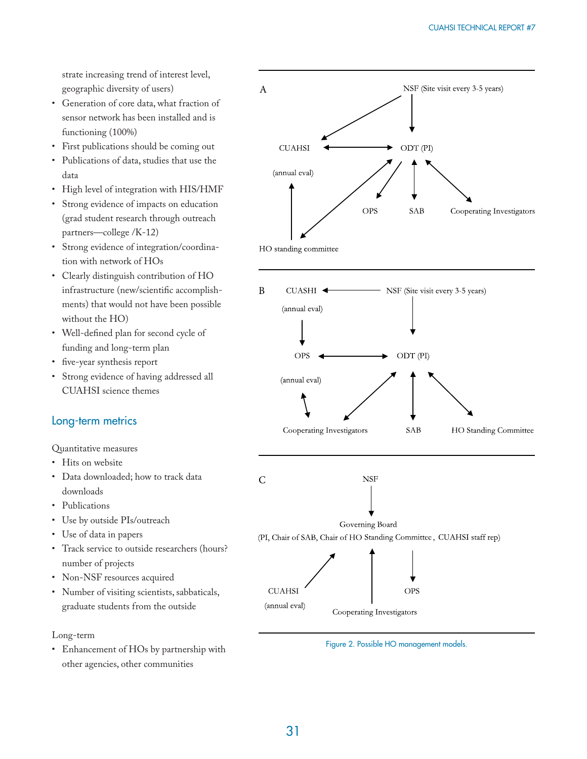strate increasing trend of interest level, geographic diversity of users)

- Generation of core data, what fraction of sensor network has been installed and is functioning (100%)
- First publications should be coming out
- Publications of data, studies that use the data
- High level of integration with HIS/HMF
- Strong evidence of impacts on education (grad student research through outreach partners—college /K-12)
- Strong evidence of integration/coordination with network of HOs
- Clearly distinguish contribution of HO infrastructure (new/scientific accomplishments) that would not have been possible without the HO)
- Well-defined plan for second cycle of funding and long-term plan
- five-year synthesis report
- Strong evidence of having addressed all CUAHSI science themes

## Long-term metrics

Quantitative measures

- Hits on website
- Data downloaded; how to track data downloads
- Publications
- Use by outside PIs/outreach
- Use of data in papers
- Track service to outside researchers (hours? number of projects
- Non-NSF resources acquired
- Number of visiting scientists, sabbaticals, graduate students from the outside

Long-term

• Enhancement of HOs by partnership with other agencies, other communities



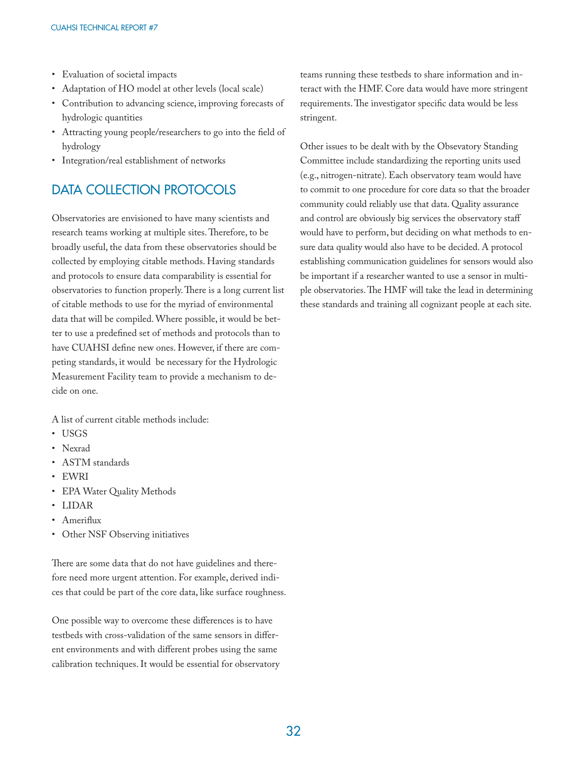- Evaluation of societal impacts
- Adaptation of HO model at other levels (local scale)
- Contribution to advancing science, improving forecasts of hydrologic quantities
- Attracting young people/researchers to go into the field of hydrology
- Integration/real establishment of networks

## DATA COLLECTION PROTOCOLS

Observatories are envisioned to have many scientists and research teams working at multiple sites. Therefore, to be broadly useful, the data from these observatories should be collected by employing citable methods. Having standards and protocols to ensure data comparability is essential for observatories to function properly. There is a long current list of citable methods to use for the myriad of environmental data that will be compiled. Where possible, it would be better to use a predefined set of methods and protocols than to have CUAHSI define new ones. However, if there are competing standards, it would be necessary for the Hydrologic Measurement Facility team to provide a mechanism to decide on one.

A list of current citable methods include:

- USGS
- Nexrad
- ASTM standards
- EWRI
- EPA Water Quality Methods
- LIDAR
- Ameriflux
- Other NSF Observing initiatives

There are some data that do not have guidelines and therefore need more urgent attention. For example, derived indices that could be part of the core data, like surface roughness.

One possible way to overcome these differences is to have testbeds with cross-validation of the same sensors in different environments and with different probes using the same calibration techniques. It would be essential for observatory teams running these testbeds to share information and interact with the HMF. Core data would have more stringent requirements. The investigator specific data would be less stringent.

Other issues to be dealt with by the Obsevatory Standing Committee include standardizing the reporting units used (e.g., nitrogen-nitrate). Each observatory team would have to commit to one procedure for core data so that the broader community could reliably use that data. Quality assurance and control are obviously big services the observatory staff would have to perform, but deciding on what methods to ensure data quality would also have to be decided. A protocol establishing communication guidelines for sensors would also be important if a researcher wanted to use a sensor in multiple observatories. The HMF will take the lead in determining these standards and training all cognizant people at each site.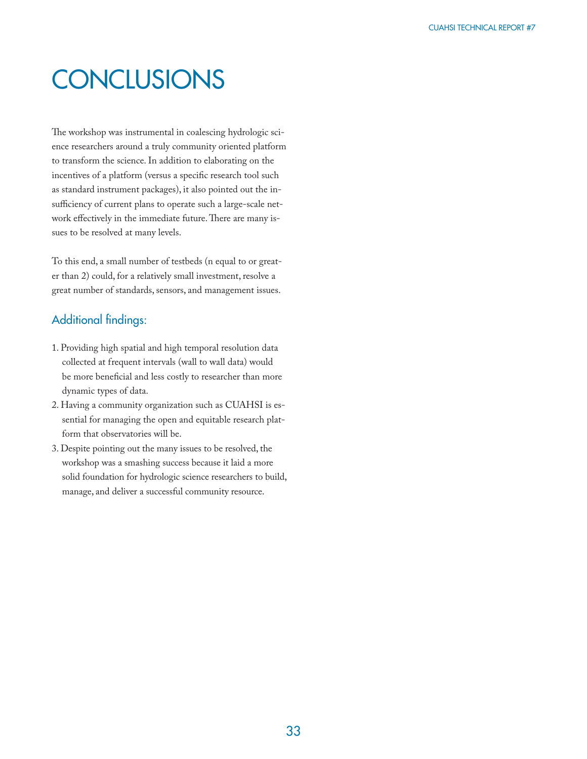## **CONCLUSIONS**

The workshop was instrumental in coalescing hydrologic science researchers around a truly community oriented platform to transform the science. In addition to elaborating on the incentives of a platform (versus a specific research tool such as standard instrument packages), it also pointed out the insufficiency of current plans to operate such a large-scale network effectively in the immediate future. There are many issues to be resolved at many levels.

To this end, a small number of testbeds (n equal to or greater than 2) could, for a relatively small investment, resolve a great number of standards, sensors, and management issues.

## Additional findings:

- 1. Providing high spatial and high temporal resolution data collected at frequent intervals (wall to wall data) would be more beneficial and less costly to researcher than more dynamic types of data.
- 2. Having a community organization such as CUAHSI is essential for managing the open and equitable research platform that observatories will be.
- 3. Despite pointing out the many issues to be resolved, the workshop was a smashing success because it laid a more solid foundation for hydrologic science researchers to build, manage, and deliver a successful community resource.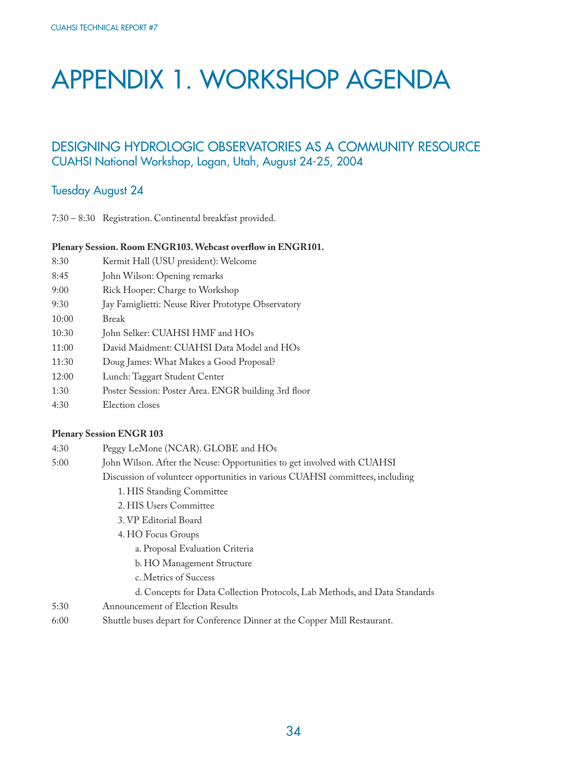## APPENDIX 1. WORKSHOP AGENDA

## DESIGNING HYDROLOGIC OBSERVATORIES AS A COMMUNITY RESOURCE CUAHSI National Workshop, Logan, Utah, August 24-25, 2004

#### Tuesday August 24

7:30 – 8:30 Registration. Continental breakfast provided.

#### Plenary Session. Room ENGR103. Webcast overflow in ENGR101.

| Kermit Hall (USU president): Welcome<br>8:30 |  |
|----------------------------------------------|--|
|----------------------------------------------|--|

- 8:45 John Wilson: Opening remarks
- 9:00 Rick Hooper: Charge to Workshop
- 9:30 Jay Famiglietti: Neuse River Prototype Observatory
- 10:00 Break
- 10:30 John Selker: CUAHSI HMF and HOs
- 11:00 David Maidment: CUAHSI Data Model and HOs
- 11:30 Doug James: What Makes a Good Proposal?
- 12:00 Lunch: Taggart Student Center
- 1:30 Poster Session: Poster Area. ENGR building 3rd floor
- 4:30 Election closes

#### **Plenary Session ENGR 103**

| 4:30 | Peggy LeMone (NCAR). GLOBE and HOs                                            |  |  |  |  |
|------|-------------------------------------------------------------------------------|--|--|--|--|
| 5:00 | John Wilson. After the Neuse: Opportunities to get involved with CUAHSI       |  |  |  |  |
|      | Discussion of volunteer opportunities in various CUAHSI committees, including |  |  |  |  |
|      | 1. HIS Standing Committee                                                     |  |  |  |  |
|      | 2. HIS Users Committee                                                        |  |  |  |  |
|      | 3. VP Editorial Board                                                         |  |  |  |  |
|      | 4. HO Focus Groups                                                            |  |  |  |  |
|      | a. Proposal Evaluation Criteria                                               |  |  |  |  |
|      | b. HO Management Structure                                                    |  |  |  |  |
|      | c. Metrics of Success                                                         |  |  |  |  |
|      | d. Concepts for Data Collection Protocols, Lab Methods, and Data Standards    |  |  |  |  |
| 5:30 | Announcement of Election Results                                              |  |  |  |  |
| 6:00 | Shuttle buses depart for Conference Dinner at the Copper Mill Restaurant.     |  |  |  |  |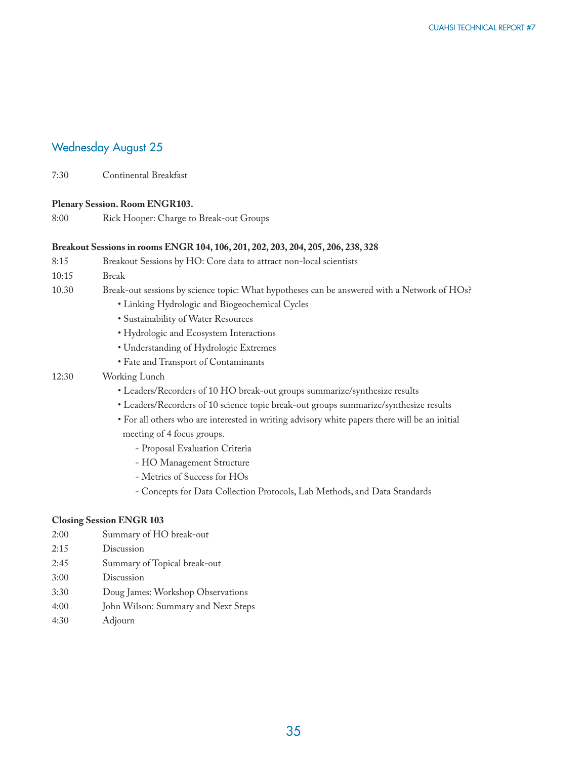## Wednesday August 25

7:30 Continental Breakfast

#### **Plenary Session. Room ENGR103.**

8:00 Rick Hooper: Charge to Break-out Groups

#### **Breakout Sessions in rooms ENGR 104, 106, 201, 202, 203, 204, 205, 206, 238, 328**

| 8:15  | Breakout Sessions by HO: Core data to attract non-local scientists                          |  |  |  |
|-------|---------------------------------------------------------------------------------------------|--|--|--|
|       |                                                                                             |  |  |  |
| 10:15 | <b>Break</b>                                                                                |  |  |  |
| 10.30 | Break-out sessions by science topic: What hypotheses can be answered with a Network of HOs? |  |  |  |
|       | • Linking Hydrologic and Biogeochemical Cycles                                              |  |  |  |
|       | • Sustainability of Water Resources                                                         |  |  |  |
|       | • Hydrologic and Ecosystem Interactions                                                     |  |  |  |
|       | • Understanding of Hydrologic Extremes                                                      |  |  |  |

• Fate and Transport of Contaminants

#### 12:30 Working Lunch

- Leaders/Recorders of 10 HO break-out groups summarize/synthesize results
- Leaders/Recorders of 10 science topic break-out groups summarize/synthesize results
- For all others who are interested in writing advisory white papers there will be an initial meeting of 4 focus groups.
	- Proposal Evaluation Criteria
	- HO Management Structure
	- Metrics of Success for HOs
	- Concepts for Data Collection Protocols, Lab Methods, and Data Standards

#### **Closing Session ENGR 103**

- 2:00 Summary of HO break-out
- 2:15 Discussion
- 2:45 Summary of Topical break-out
- 3:00 Discussion
- 3:30 Doug James: Workshop Observations
- 4:00 John Wilson: Summary and Next Steps
- 4:30 Adjourn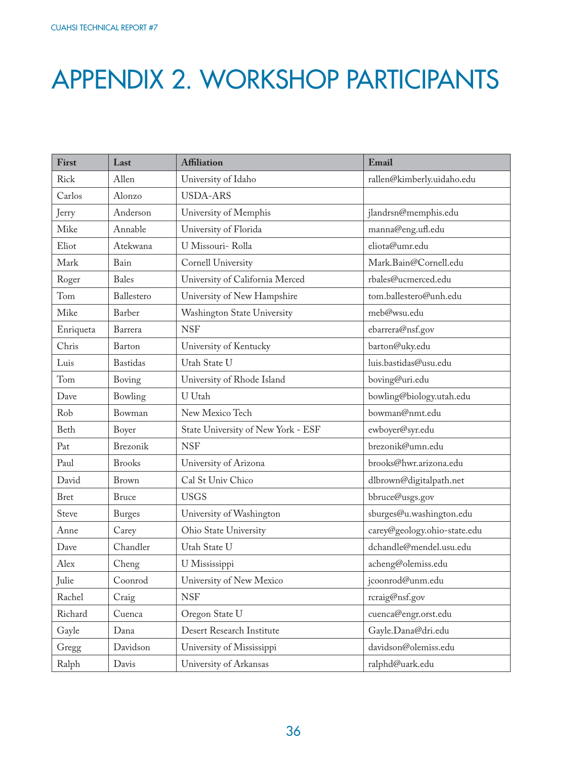## APPENDIX 2. WORKSHOP PARTICIPANTS

| First       | Last            | <b>Affiliation</b>                 | Email                        |
|-------------|-----------------|------------------------------------|------------------------------|
| Rick        | Allen           | University of Idaho                | rallen@kimberly.uidaho.edu   |
| Carlos      | Alonzo          | <b>USDA-ARS</b>                    |                              |
| Jerry       | Anderson        | University of Memphis              | jlandrsn@memphis.edu         |
| Mike        | Annable         | University of Florida              | manna@eng.ufl.edu            |
| Eliot       | Atekwana        | U Missouri- Rolla                  | eliota@umr.edu               |
| Mark        | Bain            | Cornell University                 | Mark.Bain@Cornell.edu        |
| Roger       | <b>Bales</b>    | University of California Merced    | rbales@ucmerced.edu          |
| Tom         | Ballestero      | University of New Hampshire        | tom.ballestero@unh.edu       |
| Mike        | Barber          | Washington State University        | meb@wsu.edu                  |
| Enriqueta   | Barrera         | <b>NSF</b>                         | ebarrera@nsf.gov             |
| Chris       | Barton          | University of Kentucky             | barton@uky.edu               |
| Luis        | <b>Bastidas</b> | Utah State U                       | luis.bastidas@usu.edu        |
| Tom         | Boving          | University of Rhode Island         | boving@uri.edu               |
| Dave        | Bowling         | U Utah                             | bowling@biology.utah.edu     |
| Rob         | Bowman          | New Mexico Tech                    | bowman@nmt.edu               |
| Beth        | Boyer           | State University of New York - ESF | ewboyer@syr.edu              |
| Pat         | Brezonik        | <b>NSF</b>                         | brezonik@umn.edu             |
| Paul        | <b>Brooks</b>   | University of Arizona              | brooks@hwr.arizona.edu       |
| David       | Brown           | Cal St Univ Chico                  | dlbrown@digitalpath.net      |
| <b>Bret</b> | <b>Bruce</b>    | <b>USGS</b>                        | bbruce@usgs.gov              |
| Steve       | <b>Burges</b>   | University of Washington           | sburges@u.washington.edu     |
| Anne        | Carey           | Ohio State University              | carey@geology.ohio-state.edu |
| Dave        | Chandler        | Utah State U                       | dchandle@mendel.usu.edu      |
| Alex        | Cheng           | U Mississippi                      | acheng@olemiss.edu           |
| Julie       | Coonrod         | University of New Mexico           | jcoonrod@unm.edu             |
| Rachel      | Craig           | <b>NSF</b>                         | rcraig@nsf.gov               |
| Richard     | Cuenca          | Oregon State U                     | cuenca@engr.orst.edu         |
| Gayle       | Dana            | Desert Research Institute          | Gayle.Dana@dri.edu           |
| Gregg       | Davidson        | University of Mississippi          | davidson@olemiss.edu         |
| Ralph       | Davis           | University of Arkansas             | ralphd@uark.edu              |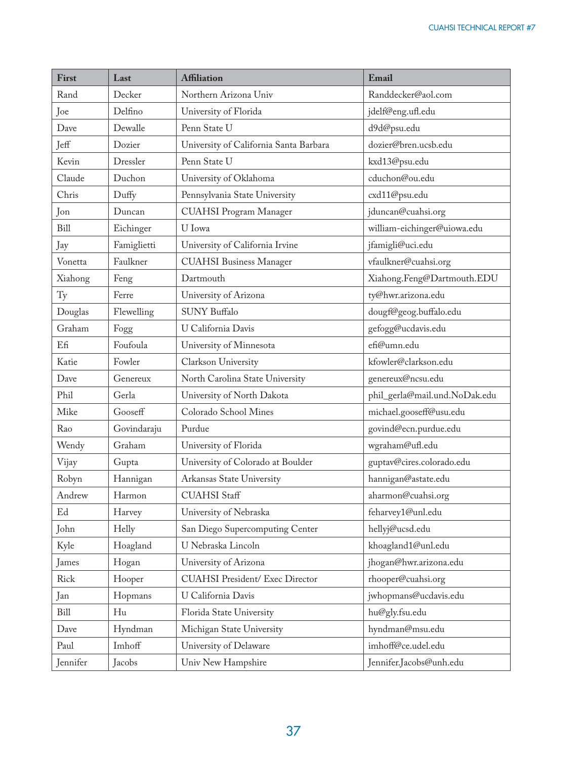| First       | Last        | <b>Affiliation</b>                     | Email                                             |
|-------------|-------------|----------------------------------------|---------------------------------------------------|
| Rand        | Decker      | Northern Arizona Univ                  | Randdecker@aol.com                                |
| Joe         | Delfino     | University of Florida                  | jdelf@eng.ufl.edu                                 |
| Dave        | Dewalle     | Penn State U                           | d9d@psu.edu                                       |
| Jeff        | Dozier      | University of California Santa Barbara | dozier@bren.ucsb.edu                              |
| Kevin       | Dressler    | Penn State U                           | kxd13@psu.edu                                     |
| Claude      | Duchon      | University of Oklahoma                 | cduchon@ou.edu                                    |
| Chris       | Duffy       | Pennsylvania State University          | cxd11@psu.edu                                     |
| Jon         | Duncan      | <b>CUAHSI Program Manager</b>          | jduncan@cuahsi.org                                |
| <b>Bill</b> | Eichinger   | U Iowa                                 | william-eichinger@uiowa.edu                       |
| Jay         | Famiglietti | University of California Irvine        | jfamigli@uci.edu                                  |
| Vonetta     | Faulkner    | <b>CUAHSI</b> Business Manager         | vfaulkner@cuahsi.org                              |
| Xiahong     | Feng        | Dartmouth                              | Xiahong.Feng@Dartmouth.EDU                        |
| Ty          | Ferre       | University of Arizona                  | ty@hwr.arizona.edu                                |
| Douglas     | Flewelling  | <b>SUNY Buffalo</b>                    | $\mbox{dougf}\mathcal{O} \mbox{geog.buffalo.edu}$ |
| Graham      | Fogg        | U California Davis                     | gefogg@ucdavis.edu                                |
| Efi         | Foufoula    | University of Minnesota                | efi@umn.edu                                       |
| Katie       | Fowler      | Clarkson University                    | kfowler@clarkson.edu                              |
| Dave        | Genereux    | North Carolina State University        | genereux@ncsu.edu                                 |
| Phil        | Gerla       | University of North Dakota             | phil_gerla@mail.und.NoDak.edu                     |
| Mike        | Gooseff     | Colorado School Mines                  | michael.gooseff@usu.edu                           |
| Rao         | Govindaraju | Purdue                                 | govind@ecn.purdue.edu                             |
| Wendy       | Graham      | University of Florida                  | wgraham@ufl.edu                                   |
| Vijay       | Gupta       | University of Colorado at Boulder      | guptav@cires.colorado.edu                         |
| Robyn       | Hannigan    | Arkansas State University              | hannigan@astate.edu                               |
| Andrew      | Harmon      | <b>CUAHSI</b> Staff                    | aharmon@cuahsi.org                                |
| Ed          | Harvey      | University of Nebraska                 | feharvey1@unl.edu                                 |
| John        | Helly       | San Diego Supercomputing Center        | hellyj@ucsd.edu                                   |
| Kyle        | Hoagland    | U Nebraska Lincoln                     | khoagland1@unl.edu                                |
| James       | Hogan       | University of Arizona                  | jhogan@hwr.arizona.edu                            |
| Rick        | Hooper      | <b>CUAHSI President/ Exec Director</b> | rhooper@cuahsi.org                                |
| Jan         | Hopmans     | U California Davis                     | jwhopmans@ucdavis.edu                             |
| Bill        | Hu          | Florida State University               | hu@gly.fsu.edu                                    |
| Dave        | Hyndman     | Michigan State University              | hyndman@msu.edu                                   |
| Paul        | Imhoff      | University of Delaware                 | imhoff@ce.udel.edu                                |
| Jennifer    | Jacobs      | Univ New Hampshire                     | Jennifer.Jacobs@unh.edu                           |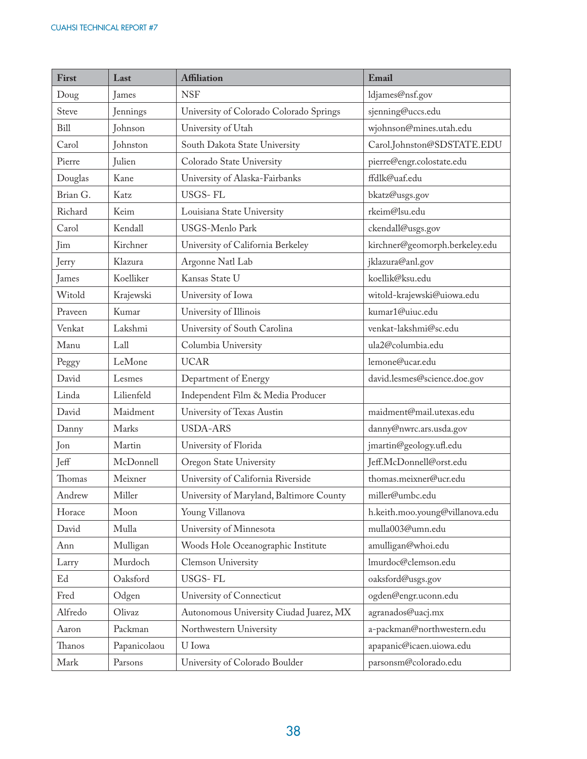| First       | Last         | <b>Affiliation</b>                       | Email                           |
|-------------|--------------|------------------------------------------|---------------------------------|
| Doug        | James        | <b>NSF</b>                               | ldjames@nsf.gov                 |
| Steve       | Jennings     | University of Colorado Colorado Springs  | sjenning@uccs.edu               |
| <b>Bill</b> | Johnson      | University of Utah                       | wjohnson@mines.utah.edu         |
| Carol       | Johnston     | South Dakota State University            | Carol.Johnston@SDSTATE.EDU      |
| Pierre      | Julien       | Colorado State University                | pierre@engr.colostate.edu       |
| Douglas     | Kane         | University of Alaska-Fairbanks           | ffdlk@uaf.edu                   |
| Brian G.    | Katz         | USGS-FL                                  | bkatz@usgs.gov                  |
| Richard     | Keim         | Louisiana State University               | rkeim@lsu.edu                   |
| Carol       | Kendall      | USGS-Menlo Park                          | ckendall@usgs.gov               |
| Jim         | Kirchner     | University of California Berkeley        | kirchner@geomorph.berkeley.edu  |
| Jerry       | Klazura      | Argonne Natl Lab                         | jklazura@anl.gov                |
| James       | Koelliker    | Kansas State U                           | koellik@ksu.edu                 |
| Witold      | Krajewski    | University of Iowa                       | witold-krajewski@uiowa.edu      |
| Praveen     | Kumar        | University of Illinois                   | kumar1@uiuc.edu                 |
| Venkat      | Lakshmi      | University of South Carolina             | venkat-lakshmi@sc.edu           |
| Manu        | Lall         | Columbia University                      | ula2@columbia.edu               |
| Peggy       | LeMone       | <b>UCAR</b>                              | lemone@ucar.edu                 |
| David       | Lesmes       | Department of Energy                     | david.lesmes@science.doe.gov    |
| Linda       | Lilienfeld   | Independent Film & Media Producer        |                                 |
| David       | Maidment     | University of Texas Austin               | maidment@mail.utexas.edu        |
| Danny       | Marks        | <b>USDA-ARS</b>                          | danny@nwrc.ars.usda.gov         |
| Jon         | Martin       | University of Florida                    | jmartin@geology.ufl.edu         |
| Jeff        | McDonnell    | Oregon State University                  | Jeff.McDonnell@orst.edu         |
| Thomas      | Meixner      | University of California Riverside       | thomas.meixner@ucr.edu          |
| Andrew      | Miller       | University of Maryland, Baltimore County | miller@umbc.edu                 |
| Horace      | Moon         | Young Villanova                          | h.keith.moo.young@villanova.edu |
| David       | Mulla        | University of Minnesota                  | mulla003@umn.edu                |
| Ann         | Mulligan     | Woods Hole Oceanographic Institute       | amulligan@whoi.edu              |
| Larry       | Murdoch      | Clemson University                       | lmurdoc@clemson.edu             |
| Ed          | Oaksford     | USGS-FL                                  | oaksford@usgs.gov               |
| Fred        | Odgen        | University of Connecticut                | ogden@engr.uconn.edu            |
| Alfredo     | Olivaz       | Autonomous University Ciudad Juarez, MX  | agranados@uacj.mx               |
| Aaron       | Packman      | Northwestern University                  | a-packman@northwestern.edu      |
| Thanos      | Papanicolaou | U Iowa                                   | apapanic@icaen.uiowa.edu        |
| Mark        | Parsons      | University of Colorado Boulder           | parsonsm@colorado.edu           |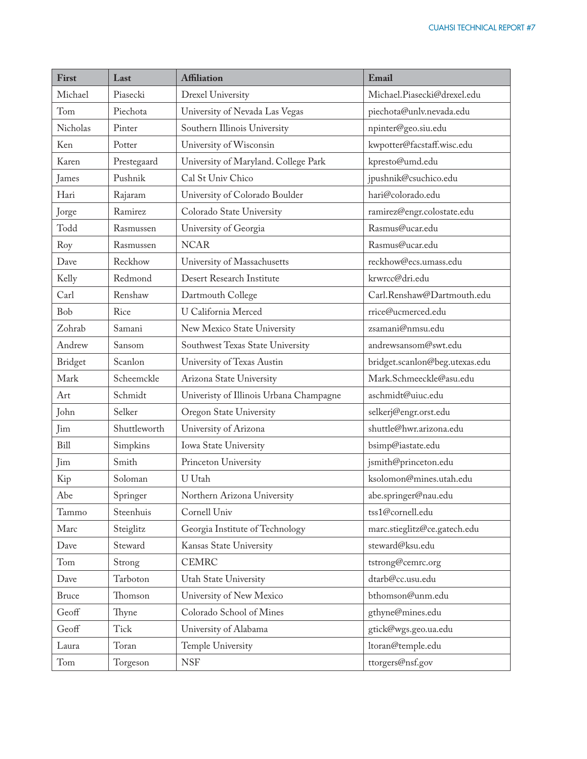| First        | Last         | <b>Affiliation</b>                      | Email                                                        |
|--------------|--------------|-----------------------------------------|--------------------------------------------------------------|
| Michael      | Piasecki     | Drexel University                       | Michael.Piasecki@drexel.edu                                  |
| Tom          | Piechota     | University of Nevada Las Vegas          | piechota@unlv.nevada.edu                                     |
| Nicholas     | Pinter       | Southern Illinois University            | npinter@geo.siu.edu                                          |
| Ken          | Potter       | University of Wisconsin                 | kwpotter@facstaff.wisc.edu                                   |
| Karen        | Prestegaard  | University of Maryland. College Park    | kpresto@umd.edu                                              |
| James        | Pushnik      | Cal St Univ Chico                       | jpushnik@csuchico.edu                                        |
| Hari         | Rajaram      | University of Colorado Boulder          | hari@colorado.edu                                            |
| Jorge        | Ramirez      | Colorado State University               | ramirez@engr.colostate.edu                                   |
| Todd         | Rasmussen    | University of Georgia                   | Rasmus@ucar.edu                                              |
| Roy          | Rasmussen    | <b>NCAR</b>                             | Rasmus@ucar.edu                                              |
| Dave         | Reckhow      | University of Massachusetts             | reckhow@ecs.umass.edu                                        |
| Kelly        | Redmond      | Desert Research Institute               | krwrcc@dri.edu                                               |
| Carl         | Renshaw      | Dartmouth College                       | Carl.Renshaw@Dartmouth.edu                                   |
| Bob          | Rice         | U California Merced                     | rrice@ucmerced.edu                                           |
| Zohrab       | Samani       | New Mexico State University             | zsamani@nmsu.edu                                             |
| Andrew       | Sansom       | Southwest Texas State University        | andrewsansom@swt.edu                                         |
| Bridget      | Scanlon      | University of Texas Austin              | bridget.scanlon@beg.utexas.edu                               |
| Mark         | Scheemckle   | Arizona State University                | Mark.Schmeeckle@asu.edu                                      |
| Art          | Schmidt      | Univeristy of Illinois Urbana Champagne | aschmidt@uiuc.edu                                            |
| John         | Selker       | Oregon State University                 | selkerj@engr.orst.edu                                        |
| Jim          | Shuttleworth | University of Arizona                   | shuttle@hwr.arizona.edu                                      |
| Bill         | Simpkins     | Iowa State University                   | bsimp@iastate.edu                                            |
| Jim          | Smith        | Princeton University                    | jsmith@princeton.edu                                         |
| Kip          | Soloman      | U Utah                                  | ksolomon@mines.utah.edu                                      |
| Abe          | Springer     | Northern Arizona University             | $\mathsf{abe}.\mathsf{springer} @ \mathsf{nau}.\mathsf{edu}$ |
| Tammo        | Steenhuis    | Cornell Univ                            | tss1@cornell.edu                                             |
| Marc         | Steiglitz    | Georgia Institute of Technology         | marc.stieglitz@ce.gatech.edu                                 |
| Dave         | Steward      | Kansas State University                 | steward@ksu.edu                                              |
| Tom          | Strong       | <b>CEMRC</b>                            | tstrong@cemrc.org                                            |
| Dave         | Tarboton     | Utah State University                   | dtarb@cc.usu.edu                                             |
| <b>Bruce</b> | Thomson      | University of New Mexico                | bthomson@unm.edu                                             |
| Geoff        | Thyne        | Colorado School of Mines                | gthyne@mines.edu                                             |
| Geoff        | Tick         | University of Alabama                   | gtick@wgs.geo.ua.edu                                         |
| Laura        | Toran        | Temple University                       | ltoran@temple.edu                                            |
| Tom          | Torgeson     | <b>NSF</b>                              | ttorgers@nsf.gov                                             |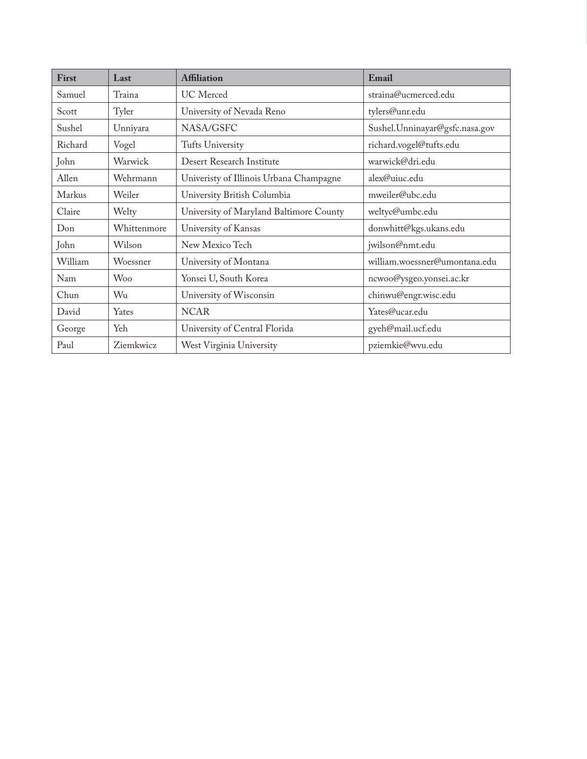| First   | Last        | <b>Affiliation</b>                      | Email                          |
|---------|-------------|-----------------------------------------|--------------------------------|
| Samuel  | Traina      | UC Merced                               | straina@ucmerced.edu           |
| Scott   | Tyler       | University of Nevada Reno               | tylers@unr.edu                 |
| Sushel  | Unniyara    | NASA/GSFC                               | Sushel.Unninayar@gsfc.nasa.gov |
| Richard | Vogel       | Tufts University                        | richard.vogel@tufts.edu        |
| John    | Warwick     | Desert Research Institute               | warwick@dri.edu                |
| Allen   | Wehrmann    | Univeristy of Illinois Urbana Champagne | alex@uiuc.edu                  |
| Markus  | Weiler      | University British Columbia             | mweiler@ubc.edu                |
| Claire  | Welty       | University of Maryland Baltimore County | weltyc@umbc.edu                |
| Don     | Whittenmore | University of Kansas                    | donwhitt@kgs.ukans.edu         |
| John    | Wilson      | New Mexico Tech                         | jwilson@nmt.edu                |
| William | Woessner    | University of Montana                   | william.woessner@umontana.edu  |
| Nam     | <b>Woo</b>  | Yonsei U, South Korea                   | ncwoo@ysgeo.yonsei.ac.kr       |
| Chun    | Wu          | University of Wisconsin                 | chinwu@engr.wisc.edu           |
| David   | Yates       | <b>NCAR</b>                             | Yates@ucar.edu                 |
| George  | Yeh         | University of Central Florida           | gyeh@mail.ucf.edu              |
| Paul    | Ziemkwicz   | West Virginia University                | pziemkie@wvu.edu               |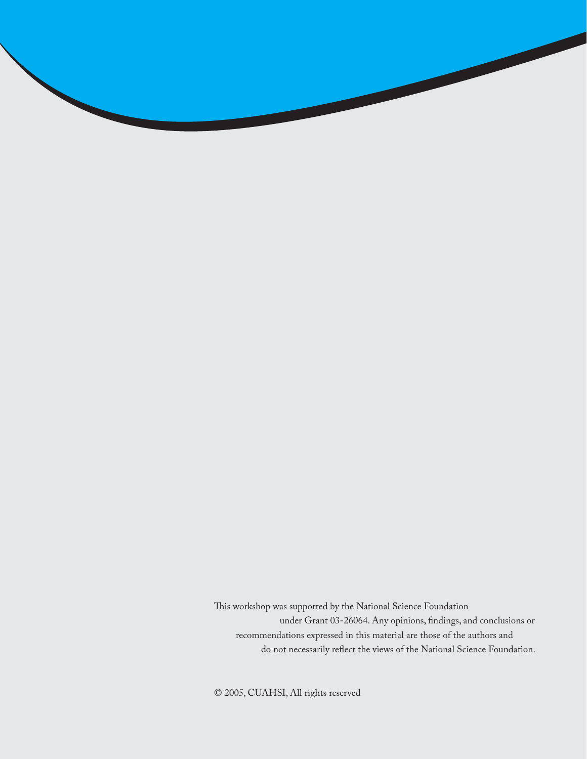This workshop was supported by the National Science Foundation under Grant 03-26064. Any opinions, findings, and conclusions or recommendations expressed in this material are those of the authors and do not necessarily reflect the views of the National Science Foundation.

© 2005, CUAHSI, All rights reserved